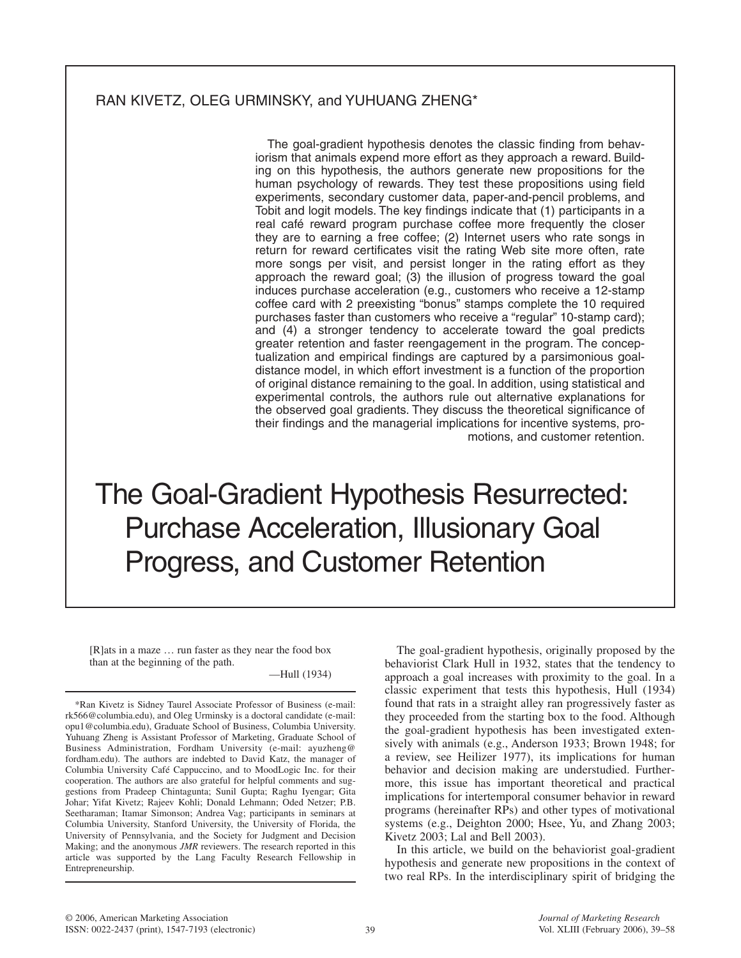# RAN KIVETZ, OLEG URMINSKY, and YUHUANG ZHENG\*

The goal-gradient hypothesis denotes the classic finding from behaviorism that animals expend more effort as they approach a reward. Building on this hypothesis, the authors generate new propositions for the human psychology of rewards. They test these propositions using field experiments, secondary customer data, paper-and-pencil problems, and Tobit and logit models. The key findings indicate that (1) participants in a real café reward program purchase coffee more frequently the closer they are to earning a free coffee; (2) Internet users who rate songs in return for reward certificates visit the rating Web site more often, rate more songs per visit, and persist longer in the rating effort as they approach the reward goal; (3) the illusion of progress toward the goal induces purchase acceleration (e.g., customers who receive a 12-stamp coffee card with 2 preexisting "bonus" stamps complete the 10 required purchases faster than customers who receive a "regular" 10-stamp card); and (4) a stronger tendency to accelerate toward the goal predicts greater retention and faster reengagement in the program. The conceptualization and empirical findings are captured by a parsimonious goaldistance model, in which effort investment is a function of the proportion of original distance remaining to the goal. In addition, using statistical and experimental controls, the authors rule out alternative explanations for the observed goal gradients. They discuss the theoretical significance of their findings and the managerial implications for incentive systems, promotions, and customer retention.

The Goal-Gradient Hypothesis Resurrected: Purchase Acceleration, Illusionary Goal Progress, and Customer Retention

[R]ats in a maze … run faster as they near the food box than at the beginning of the path.

—Hull (1934)

The goal-gradient hypothesis, originally proposed by the behaviorist Clark Hull in 1932, states that the tendency to approach a goal increases with proximity to the goal. In a classic experiment that tests this hypothesis, Hull (1934) found that rats in a straight alley ran progressively faster as they proceeded from the starting box to the food. Although the goal-gradient hypothesis has been investigated extensively with animals (e.g., Anderson 1933; Brown 1948; for a review, see Heilizer 1977), its implications for human behavior and decision making are understudied. Furthermore, this issue has important theoretical and practical implications for intertemporal consumer behavior in reward programs (hereinafter RPs) and other types of motivational systems (e.g., Deighton 2000; Hsee, Yu, and Zhang 2003; Kivetz 2003; Lal and Bell 2003).

In this article, we build on the behaviorist goal-gradient hypothesis and generate new propositions in the context of two real RPs. In the interdisciplinary spirit of bridging the

<sup>\*</sup>Ran Kivetz is Sidney Taurel Associate Professor of Business (e-mail: rk566@columbia.edu), and Oleg Urminsky is a doctoral candidate (e-mail: opu1@columbia.edu), Graduate School of Business, Columbia University. Yuhuang Zheng is Assistant Professor of Marketing, Graduate School of Business Administration, Fordham University (e-mail: ayuzheng@ fordham.edu). The authors are indebted to David Katz, the manager of Columbia University Café Cappuccino, and to MoodLogic Inc. for their cooperation. The authors are also grateful for helpful comments and suggestions from Pradeep Chintagunta; Sunil Gupta; Raghu Iyengar; Gita Johar; Yifat Kivetz; Rajeev Kohli; Donald Lehmann; Oded Netzer; P.B. Seetharaman; Itamar Simonson; Andrea Vag; participants in seminars at Columbia University, Stanford University, the University of Florida, the University of Pennsylvania, and the Society for Judgment and Decision Making; and the anonymous *JMR* reviewers. The research reported in this article was supported by the Lang Faculty Research Fellowship in Entrepreneurship.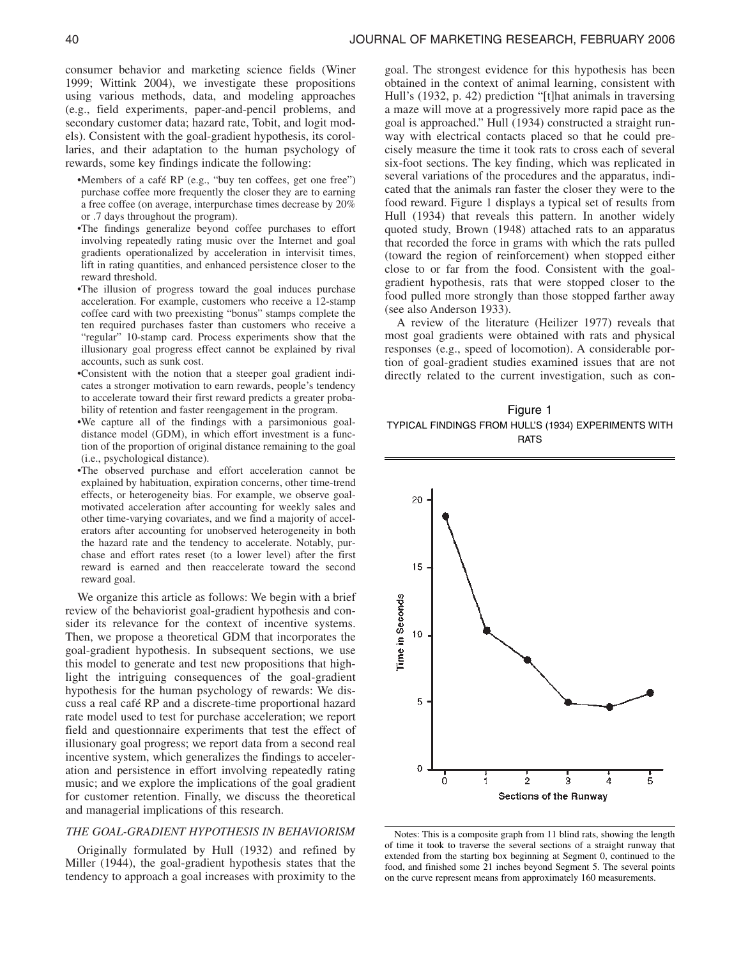consumer behavior and marketing science fields (Winer 1999; Wittink 2004), we investigate these propositions using various methods, data, and modeling approaches (e.g., field experiments, paper-and-pencil problems, and secondary customer data; hazard rate, Tobit, and logit models). Consistent with the goal-gradient hypothesis, its corollaries, and their adaptation to the human psychology of rewards, some key findings indicate the following:

- •Members of a café RP (e.g., "buy ten coffees, get one free") purchase coffee more frequently the closer they are to earning a free coffee (on average, interpurchase times decrease by 20% or .7 days throughout the program).
- •The findings generalize beyond coffee purchases to effort involving repeatedly rating music over the Internet and goal gradients operationalized by acceleration in intervisit times, lift in rating quantities, and enhanced persistence closer to the reward threshold.
- •The illusion of progress toward the goal induces purchase acceleration. For example, customers who receive a 12-stamp coffee card with two preexisting "bonus" stamps complete the ten required purchases faster than customers who receive a "regular" 10-stamp card. Process experiments show that the illusionary goal progress effect cannot be explained by rival accounts, such as sunk cost.
- •Consistent with the notion that a steeper goal gradient indicates a stronger motivation to earn rewards, people's tendency to accelerate toward their first reward predicts a greater probability of retention and faster reengagement in the program.
- •We capture all of the findings with a parsimonious goaldistance model (GDM), in which effort investment is a function of the proportion of original distance remaining to the goal (i.e., psychological distance).
- •The observed purchase and effort acceleration cannot be explained by habituation, expiration concerns, other time-trend effects, or heterogeneity bias. For example, we observe goalmotivated acceleration after accounting for weekly sales and other time-varying covariates, and we find a majority of accelerators after accounting for unobserved heterogeneity in both the hazard rate and the tendency to accelerate. Notably, purchase and effort rates reset (to a lower level) after the first reward is earned and then reaccelerate toward the second reward goal.

We organize this article as follows: We begin with a brief review of the behaviorist goal-gradient hypothesis and consider its relevance for the context of incentive systems. Then, we propose a theoretical GDM that incorporates the goal-gradient hypothesis. In subsequent sections, we use this model to generate and test new propositions that highlight the intriguing consequences of the goal-gradient hypothesis for the human psychology of rewards: We discuss a real café RP and a discrete-time proportional hazard rate model used to test for purchase acceleration; we report field and questionnaire experiments that test the effect of illusionary goal progress; we report data from a second real incentive system, which generalizes the findings to acceleration and persistence in effort involving repeatedly rating music; and we explore the implications of the goal gradient for customer retention. Finally, we discuss the theoretical and managerial implications of this research.

# *THE GOAL-GRADIENT HYPOTHESIS IN BEHAVIORISM*

Originally formulated by Hull (1932) and refined by Miller (1944), the goal-gradient hypothesis states that the tendency to approach a goal increases with proximity to the goal. The strongest evidence for this hypothesis has been obtained in the context of animal learning, consistent with Hull's (1932, p. 42) prediction "[t]hat animals in traversing a maze will move at a progressively more rapid pace as the goal is approached." Hull (1934) constructed a straight runway with electrical contacts placed so that he could precisely measure the time it took rats to cross each of several six-foot sections. The key finding, which was replicated in several variations of the procedures and the apparatus, indicated that the animals ran faster the closer they were to the food reward. Figure 1 displays a typical set of results from Hull (1934) that reveals this pattern. In another widely quoted study, Brown (1948) attached rats to an apparatus that recorded the force in grams with which the rats pulled (toward the region of reinforcement) when stopped either close to or far from the food. Consistent with the goalgradient hypothesis, rats that were stopped closer to the food pulled more strongly than those stopped farther away (see also Anderson 1933).

A review of the literature (Heilizer 1977) reveals that most goal gradients were obtained with rats and physical responses (e.g., speed of locomotion). A considerable portion of goal-gradient studies examined issues that are not directly related to the current investigation, such as con-

Figure 1 TYPICAL FINDINGS FROM HULL'S (1934) EXPERIMENTS WITH **RATS** 



Notes: This is a composite graph from 11 blind rats, showing the length of time it took to traverse the several sections of a straight runway that extended from the starting box beginning at Segment 0, continued to the food, and finished some 21 inches beyond Segment 5. The several points on the curve represent means from approximately 160 measurements.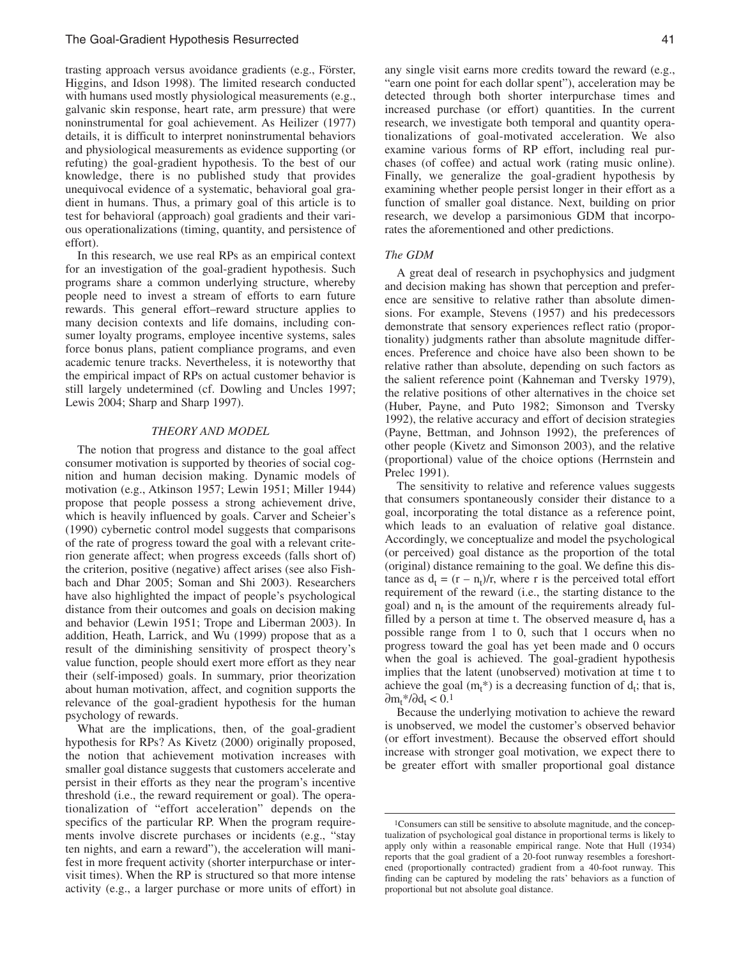trasting approach versus avoidance gradients (e.g., Förster, Higgins, and Idson 1998). The limited research conducted with humans used mostly physiological measurements (e.g., galvanic skin response, heart rate, arm pressure) that were noninstrumental for goal achievement. As Heilizer (1977) details, it is difficult to interpret noninstrumental behaviors and physiological measurements as evidence supporting (or refuting) the goal-gradient hypothesis. To the best of our knowledge, there is no published study that provides unequivocal evidence of a systematic, behavioral goal gradient in humans. Thus, a primary goal of this article is to test for behavioral (approach) goal gradients and their various operationalizations (timing, quantity, and persistence of effort).

In this research, we use real RPs as an empirical context for an investigation of the goal-gradient hypothesis. Such programs share a common underlying structure, whereby people need to invest a stream of efforts to earn future rewards. This general effort–reward structure applies to many decision contexts and life domains, including consumer loyalty programs, employee incentive systems, sales force bonus plans, patient compliance programs, and even academic tenure tracks. Nevertheless, it is noteworthy that the empirical impact of RPs on actual customer behavior is still largely undetermined (cf. Dowling and Uncles 1997; Lewis 2004; Sharp and Sharp 1997).

# *THEORY AND MODEL*

The notion that progress and distance to the goal affect consumer motivation is supported by theories of social cognition and human decision making. Dynamic models of motivation (e.g., Atkinson 1957; Lewin 1951; Miller 1944) propose that people possess a strong achievement drive, which is heavily influenced by goals. Carver and Scheier's (1990) cybernetic control model suggests that comparisons of the rate of progress toward the goal with a relevant criterion generate affect; when progress exceeds (falls short of) the criterion, positive (negative) affect arises (see also Fishbach and Dhar 2005; Soman and Shi 2003). Researchers have also highlighted the impact of people's psychological distance from their outcomes and goals on decision making and behavior (Lewin 1951; Trope and Liberman 2003). In addition, Heath, Larrick, and Wu (1999) propose that as a result of the diminishing sensitivity of prospect theory's value function, people should exert more effort as they near their (self-imposed) goals. In summary, prior theorization about human motivation, affect, and cognition supports the relevance of the goal-gradient hypothesis for the human psychology of rewards.

What are the implications, then, of the goal-gradient hypothesis for RPs? As Kivetz (2000) originally proposed, the notion that achievement motivation increases with smaller goal distance suggests that customers accelerate and persist in their efforts as they near the program's incentive threshold (i.e., the reward requirement or goal). The operationalization of "effort acceleration" depends on the specifics of the particular RP. When the program requirements involve discrete purchases or incidents (e.g., "stay ten nights, and earn a reward"), the acceleration will manifest in more frequent activity (shorter interpurchase or intervisit times). When the RP is structured so that more intense activity (e.g., a larger purchase or more units of effort) in

any single visit earns more credits toward the reward (e.g., "earn one point for each dollar spent"), acceleration may be detected through both shorter interpurchase times and increased purchase (or effort) quantities. In the current research, we investigate both temporal and quantity operationalizations of goal-motivated acceleration. We also examine various forms of RP effort, including real purchases (of coffee) and actual work (rating music online). Finally, we generalize the goal-gradient hypothesis by examining whether people persist longer in their effort as a function of smaller goal distance. Next, building on prior research, we develop a parsimonious GDM that incorporates the aforementioned and other predictions.

### *The GDM*

A great deal of research in psychophysics and judgment and decision making has shown that perception and preference are sensitive to relative rather than absolute dimensions. For example, Stevens (1957) and his predecessors demonstrate that sensory experiences reflect ratio (proportionality) judgments rather than absolute magnitude differences. Preference and choice have also been shown to be relative rather than absolute, depending on such factors as the salient reference point (Kahneman and Tversky 1979), the relative positions of other alternatives in the choice set (Huber, Payne, and Puto 1982; Simonson and Tversky 1992), the relative accuracy and effort of decision strategies (Payne, Bettman, and Johnson 1992), the preferences of other people (Kivetz and Simonson 2003), and the relative (proportional) value of the choice options (Herrnstein and Prelec 1991).

The sensitivity to relative and reference values suggests that consumers spontaneously consider their distance to a goal, incorporating the total distance as a reference point, which leads to an evaluation of relative goal distance. Accordingly, we conceptualize and model the psychological (or perceived) goal distance as the proportion of the total (original) distance remaining to the goal. We define this distance as  $d_t = (r - n_t)/r$ , where r is the perceived total effort requirement of the reward (i.e., the starting distance to the goal) and  $n_t$  is the amount of the requirements already fulfilled by a person at time t. The observed measure  $d_t$  has a possible range from 1 to 0, such that 1 occurs when no progress toward the goal has yet been made and 0 occurs when the goal is achieved. The goal-gradient hypothesis implies that the latent (unobserved) motivation at time t to achieve the goal  $(m_t^*)$  is a decreasing function of  $d_t$ ; that is,  $\partial m_t^* / \partial d_t < 0.1$ 

Because the underlying motivation to achieve the reward is unobserved, we model the customer's observed behavior (or effort investment). Because the observed effort should increase with stronger goal motivation, we expect there to be greater effort with smaller proportional goal distance

<sup>1</sup>Consumers can still be sensitive to absolute magnitude, and the conceptualization of psychological goal distance in proportional terms is likely to apply only within a reasonable empirical range. Note that Hull (1934) reports that the goal gradient of a 20-foot runway resembles a foreshortened (proportionally contracted) gradient from a 40-foot runway. This finding can be captured by modeling the rats' behaviors as a function of proportional but not absolute goal distance.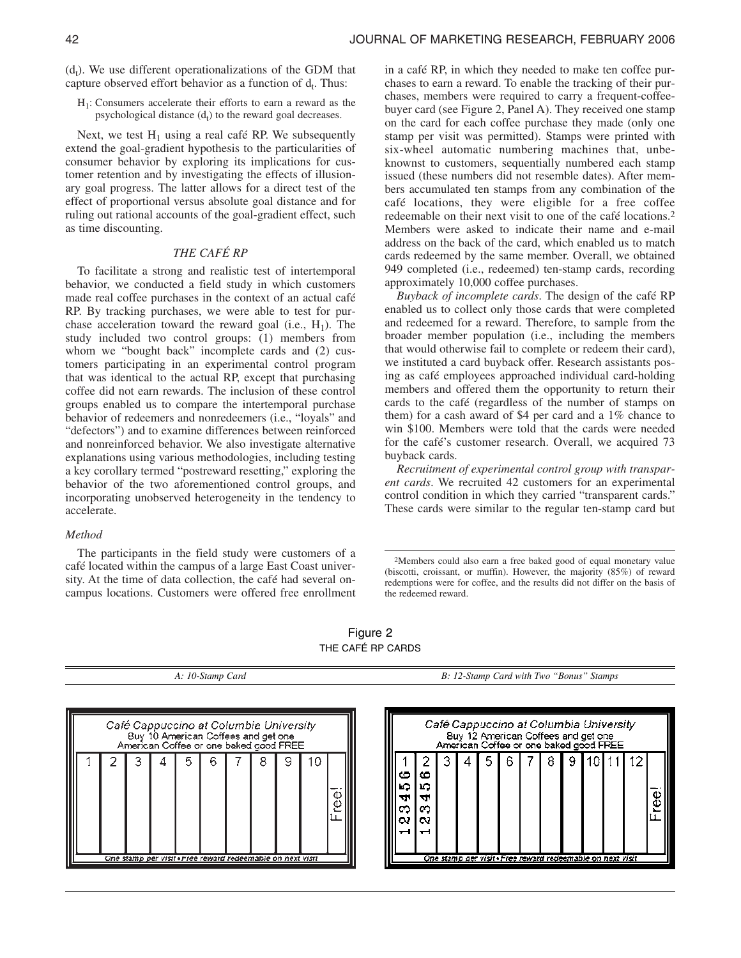$(d_t)$ . We use different operationalizations of the GDM that capture observed effort behavior as a function of  $d_t$ . Thus:

H1: Consumers accelerate their efforts to earn a reward as the psychological distance  $(d_t)$  to the reward goal decreases.

Next, we test  $H_1$  using a real café RP. We subsequently extend the goal-gradient hypothesis to the particularities of consumer behavior by exploring its implications for customer retention and by investigating the effects of illusionary goal progress. The latter allows for a direct test of the effect of proportional versus absolute goal distance and for ruling out rational accounts of the goal-gradient effect, such as time discounting.

# *THE CAFÉ RP*

To facilitate a strong and realistic test of intertemporal behavior, we conducted a field study in which customers made real coffee purchases in the context of an actual café RP. By tracking purchases, we were able to test for purchase acceleration toward the reward goal (i.e.,  $H_1$ ). The study included two control groups: (1) members from whom we "bought back" incomplete cards and (2) customers participating in an experimental control program that was identical to the actual RP, except that purchasing coffee did not earn rewards. The inclusion of these control groups enabled us to compare the intertemporal purchase behavior of redeemers and nonredeemers (i.e., "loyals" and "defectors") and to examine differences between reinforced and nonreinforced behavior. We also investigate alternative explanations using various methodologies, including testing a key corollary termed "postreward resetting," exploring the behavior of the two aforementioned control groups, and incorporating unobserved heterogeneity in the tendency to accelerate.

### *Method*

The participants in the field study were customers of a café located within the campus of a large East Coast university. At the time of data collection, the café had several oncampus locations. Customers were offered free enrollment in a café RP, in which they needed to make ten coffee purchases to earn a reward. To enable the tracking of their purchases, members were required to carry a frequent-coffeebuyer card (see Figure 2, Panel A). They received one stamp on the card for each coffee purchase they made (only one stamp per visit was permitted). Stamps were printed with six-wheel automatic numbering machines that, unbeknownst to customers, sequentially numbered each stamp issued (these numbers did not resemble dates). After members accumulated ten stamps from any combination of the café locations, they were eligible for a free coffee redeemable on their next visit to one of the café locations.2 Members were asked to indicate their name and e-mail address on the back of the card, which enabled us to match cards redeemed by the same member. Overall, we obtained 949 completed (i.e., redeemed) ten-stamp cards, recording approximately 10,000 coffee purchases.

*Buyback of incomplete cards*. The design of the café RP enabled us to collect only those cards that were completed and redeemed for a reward. Therefore, to sample from the broader member population (i.e., including the members that would otherwise fail to complete or redeem their card), we instituted a card buyback offer. Research assistants posing as café employees approached individual card-holding members and offered them the opportunity to return their cards to the café (regardless of the number of stamps on them) for a cash award of \$4 per card and a 1% chance to win \$100. Members were told that the cards were needed for the café's customer research. Overall, we acquired 73 buyback cards.

*Recruitment of experimental control group with transparent cards*. We recruited 42 customers for an experimental control condition in which they carried "transparent cards." These cards were similar to the regular ten-stamp card but

Figure 2 THE CAFÉ RP CARDS

|  |  |  | Café Cappuccino at Columbia University<br>Buy 10 American Coffees and get one<br>American Coffee or one baked good FREE |   |    |  |                             |                          |  | Café Cappucci<br>Buy 12 Amer<br>American Coffe |
|--|--|--|-------------------------------------------------------------------------------------------------------------------------|---|----|--|-----------------------------|--------------------------|--|------------------------------------------------|
|  |  |  | 6<br>One stamp per visit « Free reward redeemable on next visit                                                         | 8 | ΙU |  | co<br>ທ<br>₩<br>ຕ<br>w<br>– | co<br>מנ<br>d۲<br>œ<br>w |  | 5<br>One stamp ger visit -:                    |

*A: 10-Stamp Card B: 12-Stamp Card with Two "Bonus" Stamps*



<sup>2</sup>Members could also earn a free baked good of equal monetary value (biscotti, croissant, or muffin). However, the majority (85%) of reward redemptions were for coffee, and the results did not differ on the basis of the redeemed reward.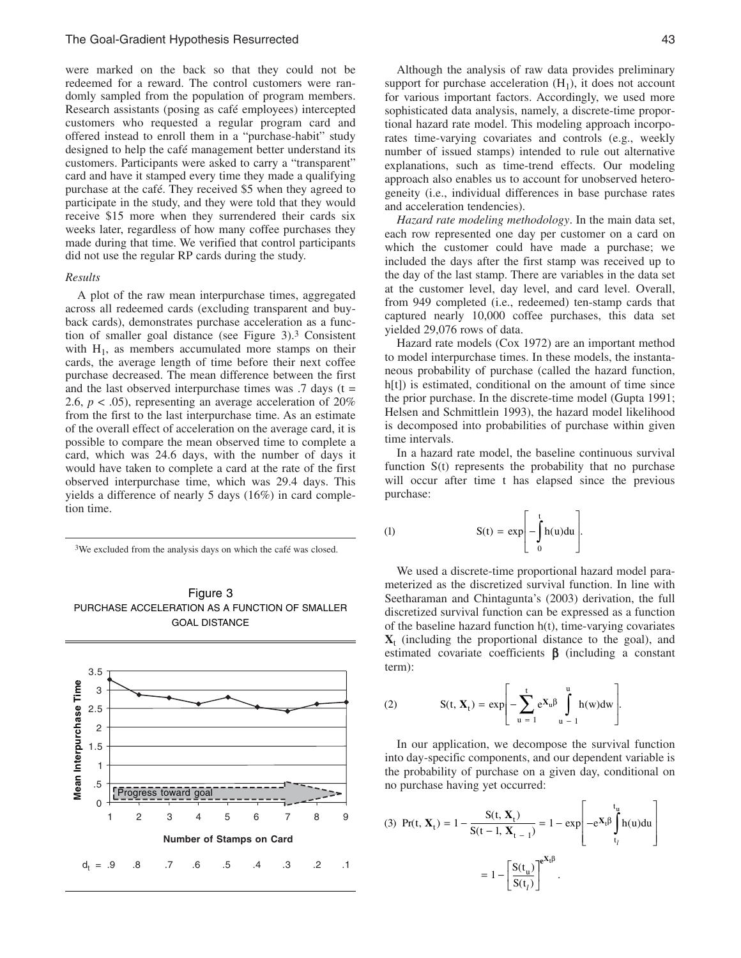were marked on the back so that they could not be redeemed for a reward. The control customers were randomly sampled from the population of program members. Research assistants (posing as café employees) intercepted customers who requested a regular program card and offered instead to enroll them in a "purchase-habit" study designed to help the café management better understand its customers. Participants were asked to carry a "transparent" card and have it stamped every time they made a qualifying purchase at the café. They received \$5 when they agreed to participate in the study, and they were told that they would receive \$15 more when they surrendered their cards six weeks later, regardless of how many coffee purchases they made during that time. We verified that control participants did not use the regular RP cards during the study.

# *Results*

A plot of the raw mean interpurchase times, aggregated across all redeemed cards (excluding transparent and buyback cards), demonstrates purchase acceleration as a function of smaller goal distance (see Figure 3).3 Consistent with  $H_1$ , as members accumulated more stamps on their cards, the average length of time before their next coffee purchase decreased. The mean difference between the first and the last observed interpurchase times was  $.7 \text{ days}$  (t = 2.6,  $p < .05$ ), representing an average acceleration of 20% from the first to the last interpurchase time. As an estimate of the overall effect of acceleration on the average card, it is possible to compare the mean observed time to complete a card, which was 24.6 days, with the number of days it would have taken to complete a card at the rate of the first observed interpurchase time, which was 29.4 days. This yields a difference of nearly 5 days (16%) in card completion time.

3We excluded from the analysis days on which the café was closed.





Although the analysis of raw data provides preliminary support for purchase acceleration  $(H_1)$ , it does not account for various important factors. Accordingly, we used more sophisticated data analysis, namely, a discrete-time proportional hazard rate model. This modeling approach incorporates time-varying covariates and controls (e.g., weekly number of issued stamps) intended to rule out alternative explanations, such as time-trend effects. Our modeling approach also enables us to account for unobserved heterogeneity (i.e., individual differences in base purchase rates and acceleration tendencies).

*Hazard rate modeling methodology*. In the main data set, each row represented one day per customer on a card on which the customer could have made a purchase; we included the days after the first stamp was received up to the day of the last stamp. There are variables in the data set at the customer level, day level, and card level. Overall, from 949 completed (i.e., redeemed) ten-stamp cards that captured nearly 10,000 coffee purchases, this data set yielded 29,076 rows of data.

Hazard rate models (Cox 1972) are an important method to model interpurchase times. In these models, the instantaneous probability of purchase (called the hazard function, h[t]) is estimated, conditional on the amount of time since the prior purchase. In the discrete-time model (Gupta 1991; Helsen and Schmittlein 1993), the hazard model likelihood is decomposed into probabilities of purchase within given time intervals.

In a hazard rate model, the baseline continuous survival function S(t) represents the probability that no purchase will occur after time t has elapsed since the previous purchase:

(1) 
$$
S(t) = exp \left[ - \int_{0}^{t} h(u) du \right].
$$

We used a discrete-time proportional hazard model parameterized as the discretized survival function. In line with Seetharaman and Chintagunta's (2003) derivation, the full discretized survival function can be expressed as a function of the baseline hazard function h(t), time-varying covariates  $X_t$  (including the proportional distance to the goal), and estimated covariate coefficients  $\beta$  (including a constant term):

(2) 
$$
S(t, X_t) = exp \left[ - \sum_{u=1}^{t} e^{X_u \beta} \int_{u-1}^{u} h(w) dw \right].
$$

In our application, we decompose the survival function into day-specific components, and our dependent variable is the probability of purchase on a given day, conditional on no purchase having yet occurred:

(3) 
$$
Pr(t, X_t) = 1 - \frac{S(t, X_t)}{S(t - 1, X_{t - 1})} = 1 - exp \left[ -e^{X_t \beta} \int_{t_l}^{t_u} h(u) du \right]
$$
  
=  $1 - \left[ \frac{S(t_u)}{S(t_l)} \right]^{e^{X_t \beta}}$ .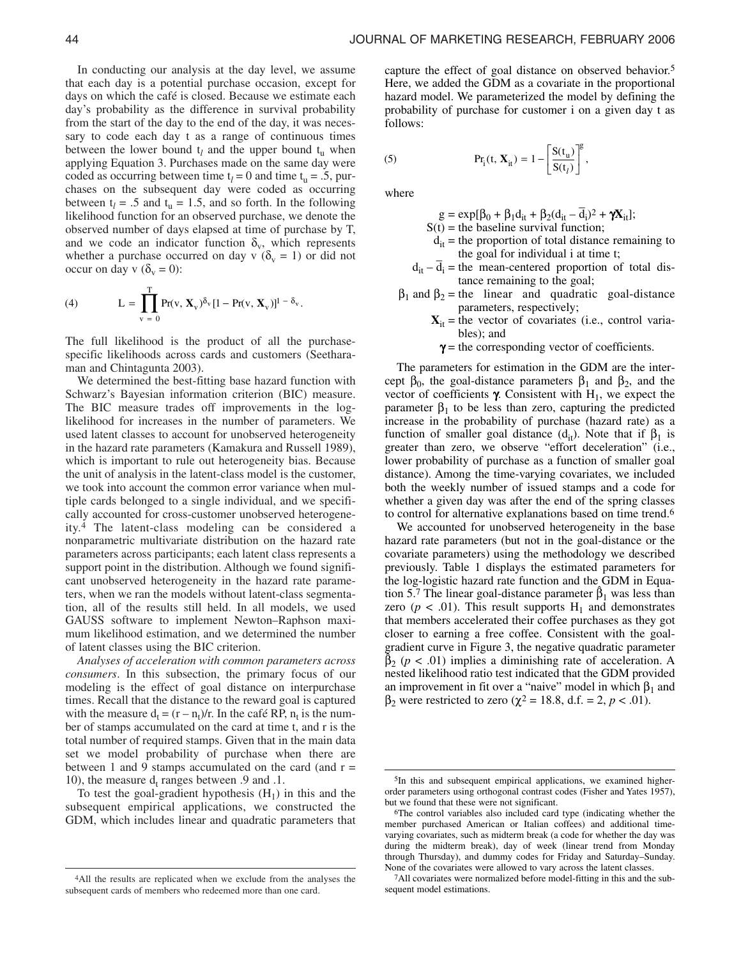In conducting our analysis at the day level, we assume that each day is a potential purchase occasion, except for days on which the café is closed. Because we estimate each day's probability as the difference in survival probability from the start of the day to the end of the day, it was necessary to code each day t as a range of continuous times between the lower bound  $t_l$  and the upper bound  $t_u$  when applying Equation 3. Purchases made on the same day were coded as occurring between time  $t_l = 0$  and time  $t_u = .5$ , purchases on the subsequent day were coded as occurring between  $t_l$  = .5 and  $t_u$  = 1.5, and so forth. In the following likelihood function for an observed purchase, we denote the observed number of days elapsed at time of purchase by T, and we code an indicator function  $\delta_{v}$ , which represents whether a purchase occurred on day v ( $\delta_y$  = 1) or did not occur on day v  $(\delta_{v} = 0)$ :

(4) 
$$
L = \prod_{v=0}^{T} Pr(v, \mathbf{X}_v)^{\delta_v} [1 - Pr(v, \mathbf{X}_v)]^{1 - \delta_v}.
$$

The full likelihood is the product of all the purchasespecific likelihoods across cards and customers (Seetharaman and Chintagunta 2003).

We determined the best-fitting base hazard function with Schwarz's Bayesian information criterion (BIC) measure. The BIC measure trades off improvements in the loglikelihood for increases in the number of parameters. We used latent classes to account for unobserved heterogeneity in the hazard rate parameters (Kamakura and Russell 1989), which is important to rule out heterogeneity bias. Because the unit of analysis in the latent-class model is the customer, we took into account the common error variance when multiple cards belonged to a single individual, and we specifically accounted for cross-customer unobserved heterogeneity.4 The latent-class modeling can be considered a nonparametric multivariate distribution on the hazard rate parameters across participants; each latent class represents a support point in the distribution. Although we found significant unobserved heterogeneity in the hazard rate parameters, when we ran the models without latent-class segmentation, all of the results still held. In all models, we used GAUSS software to implement Newton–Raphson maximum likelihood estimation, and we determined the number of latent classes using the BIC criterion.

*Analyses of acceleration with common parameters across consumers*. In this subsection, the primary focus of our modeling is the effect of goal distance on interpurchase times. Recall that the distance to the reward goal is captured with the measure  $d_t = (r - n_t)/r$ . In the café RP,  $n_t$  is the number of stamps accumulated on the card at time t, and r is the total number of required stamps. Given that in the main data set we model probability of purchase when there are between 1 and 9 stamps accumulated on the card (and  $r =$ 10), the measure  $d_t$  ranges between  $.9$  and  $.1$ .

To test the goal-gradient hypothesis  $(H_1)$  in this and the subsequent empirical applications, we constructed the GDM, which includes linear and quadratic parameters that capture the effect of goal distance on observed behavior.5 Here, we added the GDM as a covariate in the proportional hazard model. We parameterized the model by defining the probability of purchase for customer i on a given day t as follows:

(5) 
$$
Pr_i(t, \mathbf{X}_{it}) = 1 - \left[\frac{S(t_u)}{S(t_l)}\right]^g,
$$

where

 $g = \exp[\beta_0 + \beta_1 d_{it} + \beta_2 (d_{it} - d_i)^2 + \gamma X_{it}];$ 

- $S(t)$  = the baseline survival function;
- $d_{it}$  = the proportion of total distance remaining to the goal for individual i at time t;
- $d_{it} d_i$  = the mean-centered proportion of total distance remaining to the goal;
- $β<sub>1</sub>$  and  $β<sub>2</sub> =$  the linear and quadratic goal-distance parameters, respectively;
	- $X_{it}$  = the vector of covariates (i.e., control variables); and
	- $\gamma$  = the corresponding vector of coefficients.

The parameters for estimation in the GDM are the intercept  $\beta_0$ , the goal-distance parameters  $\beta_1$  and  $\beta_2$ , and the vector of coefficients γ. Consistent with  $H_1$ , we expect the parameter  $β_1$  to be less than zero, capturing the predicted increase in the probability of purchase (hazard rate) as a function of smaller goal distance  $(d_{it})$ . Note that if  $\beta_1$  is greater than zero, we observe "effort deceleration" (i.e., lower probability of purchase as a function of smaller goal distance). Among the time-varying covariates, we included both the weekly number of issued stamps and a code for whether a given day was after the end of the spring classes to control for alternative explanations based on time trend.6

We accounted for unobserved heterogeneity in the base hazard rate parameters (but not in the goal-distance or the covariate parameters) using the methodology we described previously. Table 1 displays the estimated parameters for the log-logistic hazard rate function and the GDM in Equation 5.7 The linear goal-distance parameter  $\hat{\beta}_1$  was less than zero ( $p < .01$ ). This result supports  $H_1$  and demonstrates that members accelerated their coffee purchases as they got closer to earning a free coffee. Consistent with the goalgradient curve in Figure 3, the negative quadratic parameter  $\beta_2$  ( $p < .01$ ) implies a diminishing rate of acceleration. A nested likelihood ratio test indicated that the GDM provided an improvement in fit over a "naive" model in which  $\beta_1$  and  $β<sub>2</sub>$  were restricted to zero ( $χ<sup>2</sup> = 18.8$ , d.f. = 2, *p* < .01).

<sup>4</sup>All the results are replicated when we exclude from the analyses the subsequent cards of members who redeemed more than one card.

<sup>5</sup>In this and subsequent empirical applications, we examined higherorder parameters using orthogonal contrast codes (Fisher and Yates 1957), but we found that these were not significant.

<sup>6</sup>The control variables also included card type (indicating whether the member purchased American or Italian coffees) and additional timevarying covariates, such as midterm break (a code for whether the day was during the midterm break), day of week (linear trend from Monday through Thursday), and dummy codes for Friday and Saturday–Sunday. None of the covariates were allowed to vary across the latent classes.

<sup>7</sup>All covariates were normalized before model-fitting in this and the subsequent model estimations.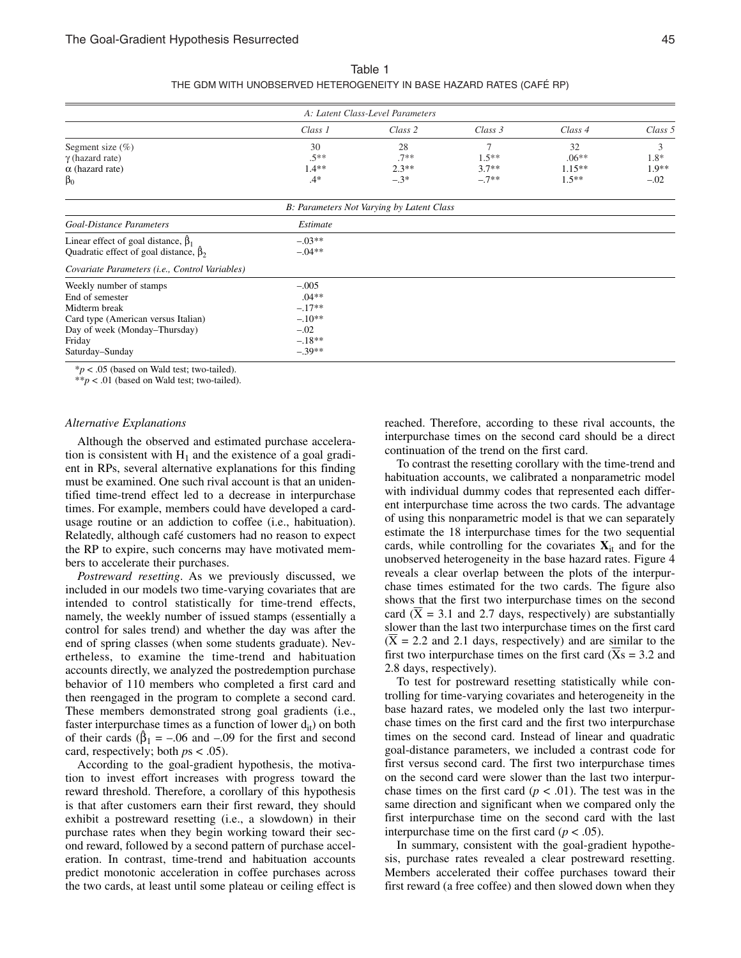|                                                                                                 |                      | A: Latent Class-Level Parameters          |         |          |         |
|-------------------------------------------------------------------------------------------------|----------------------|-------------------------------------------|---------|----------|---------|
|                                                                                                 | Class 1              | Class 2                                   | Class 3 | Class 4  | Class 5 |
| Segment size $(\% )$                                                                            | 30                   | 28                                        | 7       | 32       | 3       |
| $\gamma$ (hazard rate)                                                                          | $.5**$               | $.7**$                                    | $1.5**$ | $.06**$  | $1.8*$  |
| $\alpha$ (hazard rate)                                                                          | $1.4**$              | $2.3**$                                   | $3.7**$ | $1.15**$ | $1.9**$ |
| $\beta_0$                                                                                       | $.4*$                | $-3*$                                     | $-.7**$ | $1.5**$  | $-.02$  |
|                                                                                                 |                      | B: Parameters Not Varying by Latent Class |         |          |         |
| Goal-Distance Parameters                                                                        | Estimate             |                                           |         |          |         |
| Linear effect of goal distance, $\beta_1$<br>Quadratic effect of goal distance, $\hat{\beta}_2$ | $-.03**$<br>$-.04**$ |                                           |         |          |         |
| Covariate Parameters (i.e., Control Variables)                                                  |                      |                                           |         |          |         |
| Weekly number of stamps                                                                         | $-.005$              |                                           |         |          |         |
| End of semester                                                                                 | $.04**$              |                                           |         |          |         |
| Midterm break                                                                                   | $-17**$              |                                           |         |          |         |
| Card type (American versus Italian)                                                             | $-.10**$             |                                           |         |          |         |
| Day of week (Monday-Thursday)                                                                   | $-.02$               |                                           |         |          |         |
| Friday                                                                                          | $-18**$              |                                           |         |          |         |
| Saturday-Sunday                                                                                 | $-.39**$             |                                           |         |          |         |

Table 1 THE GDM WITH UNOBSERVED HETEROGENEITY IN BASE HAZARD RATES (CAFÉ RP)

\**p* < .05 (based on Wald test; two-tailed).

\*\**p* < .01 (based on Wald test; two-tailed).

### *Alternative Explanations*

Although the observed and estimated purchase acceleration is consistent with  $H_1$  and the existence of a goal gradient in RPs, several alternative explanations for this finding must be examined. One such rival account is that an unidentified time-trend effect led to a decrease in interpurchase times. For example, members could have developed a cardusage routine or an addiction to coffee (i.e., habituation). Relatedly, although café customers had no reason to expect the RP to expire, such concerns may have motivated members to accelerate their purchases.

*Postreward resetting*. As we previously discussed, we included in our models two time-varying covariates that are intended to control statistically for time-trend effects, namely, the weekly number of issued stamps (essentially a control for sales trend) and whether the day was after the end of spring classes (when some students graduate). Nevertheless, to examine the time-trend and habituation accounts directly, we analyzed the postredemption purchase behavior of 110 members who completed a first card and then reengaged in the program to complete a second card. These members demonstrated strong goal gradients (i.e., faster interpurchase times as a function of lower  $d_{it}$ ) on both of their cards ( $\beta_1 = -.06$  and  $-.09$  for the first and second card, respectively; both *p*s < .05).

According to the goal-gradient hypothesis, the motivation to invest effort increases with progress toward the reward threshold. Therefore, a corollary of this hypothesis is that after customers earn their first reward, they should exhibit a postreward resetting (i.e., a slowdown) in their purchase rates when they begin working toward their second reward, followed by a second pattern of purchase acceleration. In contrast, time-trend and habituation accounts predict monotonic acceleration in coffee purchases across the two cards, at least until some plateau or ceiling effect is reached. Therefore, according to these rival accounts, the interpurchase times on the second card should be a direct continuation of the trend on the first card.

To contrast the resetting corollary with the time-trend and habituation accounts, we calibrated a nonparametric model with individual dummy codes that represented each different interpurchase time across the two cards. The advantage of using this nonparametric model is that we can separately estimate the 18 interpurchase times for the two sequential cards, while controlling for the covariates  $X_{it}$  and for the unobserved heterogeneity in the base hazard rates. Figure 4 reveals a clear overlap between the plots of the interpurchase times estimated for the two cards. The figure also shows that the first two interpurchase times on the second card  $(X = 3.1$  and 2.7 days, respectively) are substantially slower than the last two interpurchase times on the first card  $(X = 2.2$  and 2.1 days, respectively) and are similar to the first two interpurchase times on the first card  $(Xs = 3.2$  and 2.8 days, respectively).

To test for postreward resetting statistically while controlling for time-varying covariates and heterogeneity in the base hazard rates, we modeled only the last two interpurchase times on the first card and the first two interpurchase times on the second card. Instead of linear and quadratic goal-distance parameters, we included a contrast code for first versus second card. The first two interpurchase times on the second card were slower than the last two interpurchase times on the first card  $(p < .01)$ . The test was in the same direction and significant when we compared only the first interpurchase time on the second card with the last interpurchase time on the first card  $(p < .05)$ .

In summary, consistent with the goal-gradient hypothesis, purchase rates revealed a clear postreward resetting. Members accelerated their coffee purchases toward their first reward (a free coffee) and then slowed down when they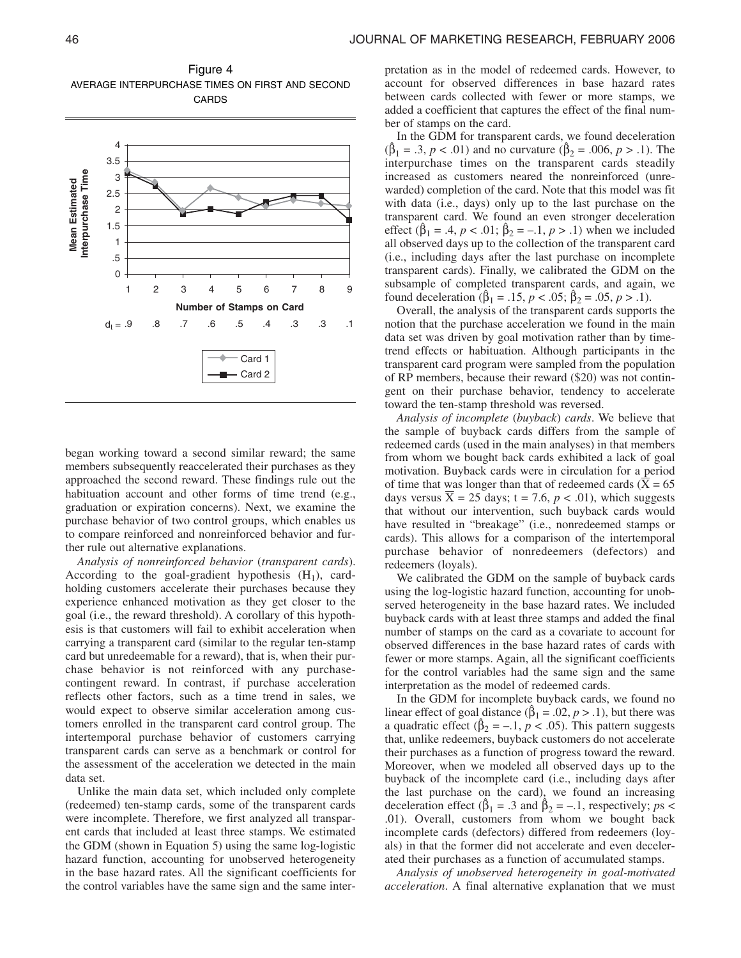

Figure 4 AVERAGE INTERPURCHASE TIMES ON FIRST AND SECOND CARDS

began working toward a second similar reward; the same members subsequently reaccelerated their purchases as they approached the second reward. These findings rule out the habituation account and other forms of time trend (e.g., graduation or expiration concerns). Next, we examine the purchase behavior of two control groups, which enables us to compare reinforced and nonreinforced behavior and further rule out alternative explanations.

*Analysis of nonreinforced behavior* (*transparent cards*). According to the goal-gradient hypothesis  $(H_1)$ , cardholding customers accelerate their purchases because they experience enhanced motivation as they get closer to the goal (i.e., the reward threshold). A corollary of this hypothesis is that customers will fail to exhibit acceleration when carrying a transparent card (similar to the regular ten-stamp card but unredeemable for a reward), that is, when their purchase behavior is not reinforced with any purchasecontingent reward. In contrast, if purchase acceleration reflects other factors, such as a time trend in sales, we would expect to observe similar acceleration among customers enrolled in the transparent card control group. The intertemporal purchase behavior of customers carrying transparent cards can serve as a benchmark or control for the assessment of the acceleration we detected in the main data set.

Unlike the main data set, which included only complete (redeemed) ten-stamp cards, some of the transparent cards were incomplete. Therefore, we first analyzed all transparent cards that included at least three stamps. We estimated the GDM (shown in Equation 5) using the same log-logistic hazard function, accounting for unobserved heterogeneity in the base hazard rates. All the significant coefficients for the control variables have the same sign and the same inter-

pretation as in the model of redeemed cards. However, to account for observed differences in base hazard rates between cards collected with fewer or more stamps, we added a coefficient that captures the effect of the final number of stamps on the card.

In the GDM for transparent cards, we found deceleration  $(\beta_1 = .3, p < .01)$  and no curvature  $(\beta_2 = .006, p > .1)$ . The interpurchase times on the transparent cards steadily increased as customers neared the nonreinforced (unrewarded) completion of the card. Note that this model was fit with data (i.e., days) only up to the last purchase on the transparent card. We found an even stronger deceleration effect ( $\hat{\beta}_1 = .4$ ,  $p < .01$ ;  $\hat{\beta}_2 = -.1$ ,  $p > .1$ ) when we included all observed days up to the collection of the transparent card (i.e., including days after the last purchase on incomplete transparent cards). Finally, we calibrated the GDM on the subsample of completed transparent cards, and again, we found deceleration ( $\hat{\beta}_1 = .15$ ,  $p < .05$ ;  $\hat{\beta}_2 = .05$ ,  $p > .1$ ).

Overall, the analysis of the transparent cards supports the notion that the purchase acceleration we found in the main data set was driven by goal motivation rather than by timetrend effects or habituation. Although participants in the transparent card program were sampled from the population of RP members, because their reward (\$20) was not contingent on their purchase behavior, tendency to accelerate toward the ten-stamp threshold was reversed.

*Analysis of incomplete* (*buyback*) *cards*. We believe that the sample of buyback cards differs from the sample of redeemed cards (used in the main analyses) in that members from whom we bought back cards exhibited a lack of goal motivation. Buyback cards were in circulation for a period of time that was longer than that of redeemed cards  $(X = 65$ days versus  $\overline{X} = 25$  days; t = 7.6,  $p < .01$ ), which suggests that without our intervention, such buyback cards would have resulted in "breakage" (i.e., nonredeemed stamps or cards). This allows for a comparison of the intertemporal purchase behavior of nonredeemers (defectors) and redeemers (loyals).

We calibrated the GDM on the sample of buyback cards using the log-logistic hazard function, accounting for unobserved heterogeneity in the base hazard rates. We included buyback cards with at least three stamps and added the final number of stamps on the card as a covariate to account for observed differences in the base hazard rates of cards with fewer or more stamps. Again, all the significant coefficients for the control variables had the same sign and the same interpretation as the model of redeemed cards.

In the GDM for incomplete buyback cards, we found no linear effect of goal distance ( $\hat{\beta}_1$  = .02, *p* > .1), but there was a quadratic effect ( $\hat{\beta}_2 = -1$ ,  $p < .05$ ). This pattern suggests that, unlike redeemers, buyback customers do not accelerate their purchases as a function of progress toward the reward. Moreover, when we modeled all observed days up to the buyback of the incomplete card (i.e., including days after the last purchase on the card), we found an increasing deceleration effect ( $\hat{\beta}_1 = .3$  and  $\hat{\beta}_2 = -.1$ , respectively; *ps* < .01). Overall, customers from whom we bought back incomplete cards (defectors) differed from redeemers (loyals) in that the former did not accelerate and even decelerated their purchases as a function of accumulated stamps.

*Analysis of unobserved heterogeneity in goal-motivated acceleration*. A final alternative explanation that we must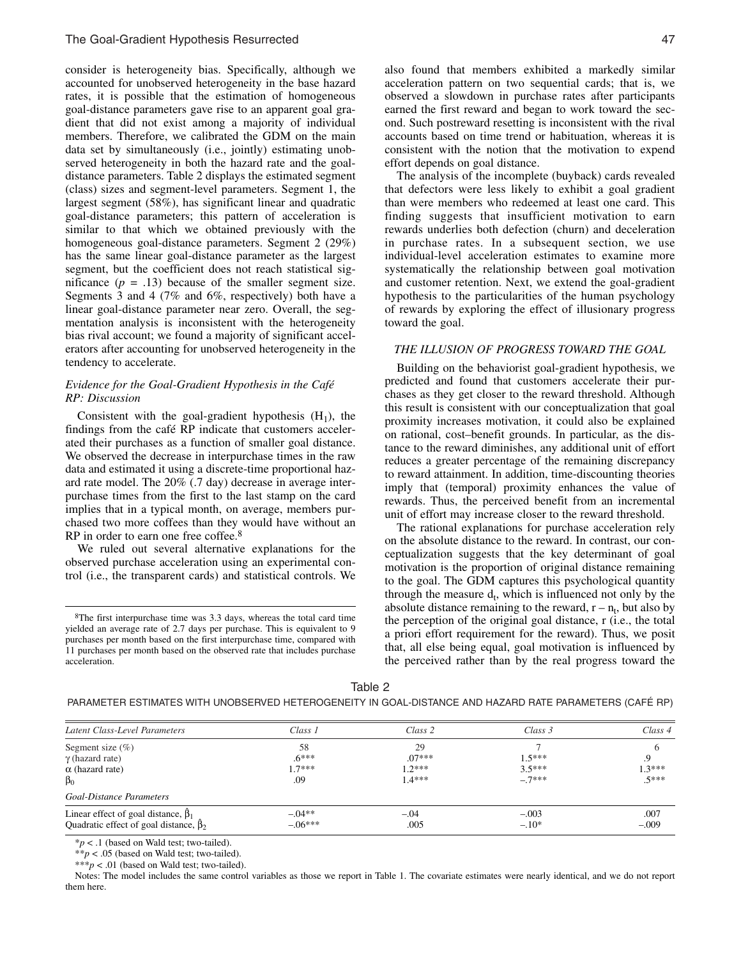consider is heterogeneity bias. Specifically, although we accounted for unobserved heterogeneity in the base hazard rates, it is possible that the estimation of homogeneous goal-distance parameters gave rise to an apparent goal gradient that did not exist among a majority of individual members. Therefore, we calibrated the GDM on the main data set by simultaneously (i.e., jointly) estimating unobserved heterogeneity in both the hazard rate and the goaldistance parameters. Table 2 displays the estimated segment (class) sizes and segment-level parameters. Segment 1, the largest segment (58%), has significant linear and quadratic goal-distance parameters; this pattern of acceleration is similar to that which we obtained previously with the homogeneous goal-distance parameters. Segment 2 (29%) has the same linear goal-distance parameter as the largest segment, but the coefficient does not reach statistical significance  $(p = .13)$  because of the smaller segment size. Segments 3 and 4 (7% and 6%, respectively) both have a linear goal-distance parameter near zero. Overall, the segmentation analysis is inconsistent with the heterogeneity bias rival account; we found a majority of significant accelerators after accounting for unobserved heterogeneity in the tendency to accelerate.

# *Evidence for the Goal-Gradient Hypothesis in the Café RP: Discussion*

Consistent with the goal-gradient hypothesis  $(H_1)$ , the findings from the café RP indicate that customers accelerated their purchases as a function of smaller goal distance. We observed the decrease in interpurchase times in the raw data and estimated it using a discrete-time proportional hazard rate model. The 20% (.7 day) decrease in average interpurchase times from the first to the last stamp on the card implies that in a typical month, on average, members purchased two more coffees than they would have without an RP in order to earn one free coffee.8

We ruled out several alternative explanations for the observed purchase acceleration using an experimental control (i.e., the transparent cards) and statistical controls. We

The analysis of the incomplete (buyback) cards revealed that defectors were less likely to exhibit a goal gradient than were members who redeemed at least one card. This finding suggests that insufficient motivation to earn rewards underlies both defection (churn) and deceleration in purchase rates. In a subsequent section, we use individual-level acceleration estimates to examine more systematically the relationship between goal motivation and customer retention. Next, we extend the goal-gradient hypothesis to the particularities of the human psychology of rewards by exploring the effect of illusionary progress toward the goal.

# *THE ILLUSION OF PROGRESS TOWARD THE GOAL*

Building on the behaviorist goal-gradient hypothesis, we predicted and found that customers accelerate their purchases as they get closer to the reward threshold. Although this result is consistent with our conceptualization that goal proximity increases motivation, it could also be explained on rational, cost–benefit grounds. In particular, as the distance to the reward diminishes, any additional unit of effort reduces a greater percentage of the remaining discrepancy to reward attainment. In addition, time-discounting theories imply that (temporal) proximity enhances the value of rewards. Thus, the perceived benefit from an incremental unit of effort may increase closer to the reward threshold.

The rational explanations for purchase acceleration rely on the absolute distance to the reward. In contrast, our conceptualization suggests that the key determinant of goal motivation is the proportion of original distance remaining to the goal. The GDM captures this psychological quantity through the measure  $d_t$ , which is influenced not only by the absolute distance remaining to the reward,  $r - n_t$ , but also by the perception of the original goal distance, r (i.e., the total a priori effort requirement for the reward). Thus, we posit that, all else being equal, goal motivation is influenced by the perceived rather than by the real progress toward the

|--|--|--|

| Latent Class-Level Parameters                                                             | Class 1                   | Class 2                    | Class 3              | Class 4         |
|-------------------------------------------------------------------------------------------|---------------------------|----------------------------|----------------------|-----------------|
| Segment size $(\% )$<br>$\gamma$ (hazard rate)<br>$\alpha$ (hazard rate)                  | 58<br>$.6***$<br>$1.7***$ | 29<br>$.07***$<br>$1.2***$ | $1.5***$<br>$3.5***$ | 13***           |
| $\beta_0$                                                                                 | .09                       | $1.4***$                   | $-7***$              | $5***$          |
| Goal-Distance Parameters                                                                  |                           |                            |                      |                 |
| Linear effect of goal distance, $\beta_1$<br>Quadratic effect of goal distance, $\beta_2$ | $-.04**$<br>$-.06***$     | $-.04$<br>.005             | $-.003$<br>$-.10*$   | .007<br>$-.009$ |

\**p* < .1 (based on Wald test; two-tailed).

\*\**p* < .05 (based on Wald test; two-tailed).

\*\*\* $p < .01$  (based on Wald test; two-tailed).

Notes: The model includes the same control variables as those we report in Table 1. The covariate estimates were nearly identical, and we do not report them here.

<sup>8</sup>The first interpurchase time was 3.3 days, whereas the total card time yielded an average rate of 2.7 days per purchase. This is equivalent to 9 purchases per month based on the first interpurchase time, compared with 11 purchases per month based on the observed rate that includes purchase acceleration.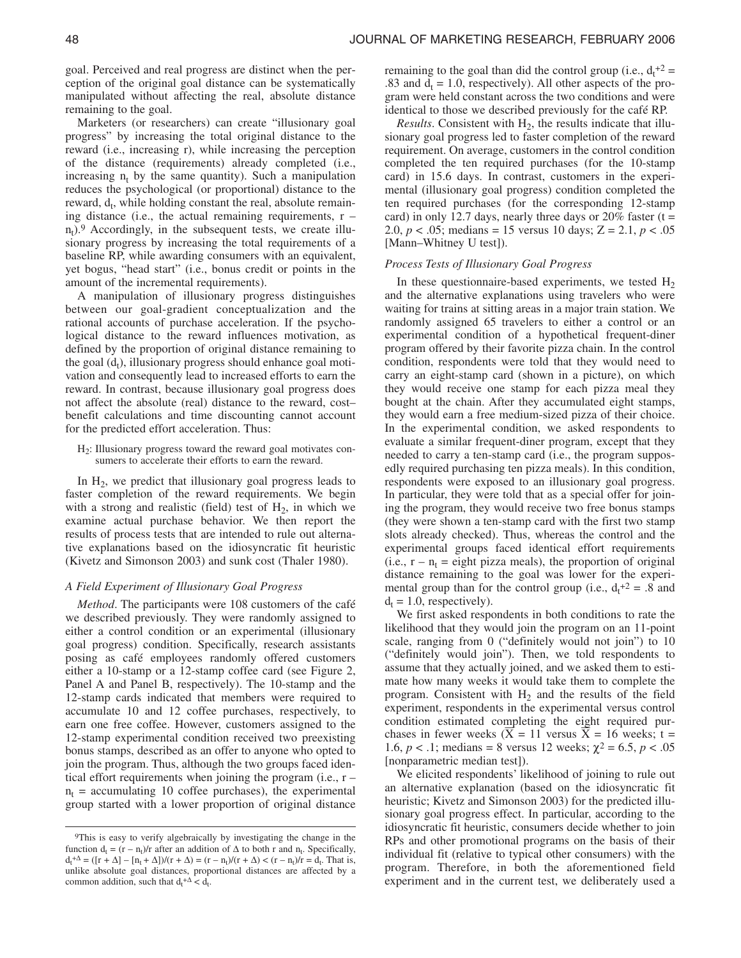goal. Perceived and real progress are distinct when the perception of the original goal distance can be systematically manipulated without affecting the real, absolute distance remaining to the goal.

Marketers (or researchers) can create "illusionary goal progress" by increasing the total original distance to the reward (i.e., increasing r), while increasing the perception of the distance (requirements) already completed (i.e., increasing  $n_t$  by the same quantity). Such a manipulation reduces the psychological (or proportional) distance to the reward, d<sub>t</sub>, while holding constant the real, absolute remaining distance (i.e., the actual remaining requirements,  $r$  $n_t$ ).<sup>9</sup> Accordingly, in the subsequent tests, we create illusionary progress by increasing the total requirements of a baseline RP, while awarding consumers with an equivalent, yet bogus, "head start" (i.e., bonus credit or points in the amount of the incremental requirements).

A manipulation of illusionary progress distinguishes between our goal-gradient conceptualization and the rational accounts of purchase acceleration. If the psychological distance to the reward influences motivation, as defined by the proportion of original distance remaining to the goal  $(d_t)$ , illusionary progress should enhance goal motivation and consequently lead to increased efforts to earn the reward. In contrast, because illusionary goal progress does not affect the absolute (real) distance to the reward, cost– benefit calculations and time discounting cannot account for the predicted effort acceleration. Thus:

 $H<sub>2</sub>$ : Illusionary progress toward the reward goal motivates consumers to accelerate their efforts to earn the reward.

In  $H<sub>2</sub>$ , we predict that illusionary goal progress leads to faster completion of the reward requirements. We begin with a strong and realistic (field) test of  $H_2$ , in which we examine actual purchase behavior. We then report the results of process tests that are intended to rule out alternative explanations based on the idiosyncratic fit heuristic (Kivetz and Simonson 2003) and sunk cost (Thaler 1980).

### *A Field Experiment of Illusionary Goal Progress*

*Method*. The participants were 108 customers of the café we described previously. They were randomly assigned to either a control condition or an experimental (illusionary goal progress) condition. Specifically, research assistants posing as café employees randomly offered customers either a 10-stamp or a 12-stamp coffee card (see Figure 2, Panel A and Panel B, respectively). The 10-stamp and the 12-stamp cards indicated that members were required to accumulate 10 and 12 coffee purchases, respectively, to earn one free coffee. However, customers assigned to the 12-stamp experimental condition received two preexisting bonus stamps, described as an offer to anyone who opted to join the program. Thus, although the two groups faced identical effort requirements when joining the program (i.e., r –  $n_t$  = accumulating 10 coffee purchases), the experimental group started with a lower proportion of original distance

remaining to the goal than did the control group (i.e.,  $d_t$ <sup>+2</sup> = .83 and  $d_t = 1.0$ , respectively). All other aspects of the program were held constant across the two conditions and were identical to those we described previously for the café RP.

*Results*. Consistent with  $H_2$ , the results indicate that illusionary goal progress led to faster completion of the reward requirement. On average, customers in the control condition completed the ten required purchases (for the 10-stamp card) in 15.6 days. In contrast, customers in the experimental (illusionary goal progress) condition completed the ten required purchases (for the corresponding 12-stamp card) in only 12.7 days, nearly three days or  $20\%$  faster (t = 2.0, *p* < .05; medians = 15 versus 10 days; Z = 2.1, *p* < .05 [Mann–Whitney U test]).

### *Process Tests of Illusionary Goal Progress*

In these questionnaire-based experiments, we tested  $H_2$ and the alternative explanations using travelers who were waiting for trains at sitting areas in a major train station. We randomly assigned 65 travelers to either a control or an experimental condition of a hypothetical frequent-diner program offered by their favorite pizza chain. In the control condition, respondents were told that they would need to carry an eight-stamp card (shown in a picture), on which they would receive one stamp for each pizza meal they bought at the chain. After they accumulated eight stamps, they would earn a free medium-sized pizza of their choice. In the experimental condition, we asked respondents to evaluate a similar frequent-diner program, except that they needed to carry a ten-stamp card (i.e., the program supposedly required purchasing ten pizza meals). In this condition, respondents were exposed to an illusionary goal progress. In particular, they were told that as a special offer for joining the program, they would receive two free bonus stamps (they were shown a ten-stamp card with the first two stamp slots already checked). Thus, whereas the control and the experimental groups faced identical effort requirements (i.e.,  $r - n_t =$  eight pizza meals), the proportion of original distance remaining to the goal was lower for the experimental group than for the control group (i.e.,  $d_t^2 = .8$  and  $d_t = 1.0$ , respectively).

We first asked respondents in both conditions to rate the likelihood that they would join the program on an 11-point scale, ranging from 0 ("definitely would not join") to 10 ("definitely would join"). Then, we told respondents to assume that they actually joined, and we asked them to estimate how many weeks it would take them to complete the program. Consistent with  $H_2$  and the results of the field experiment, respondents in the experimental versus control condition estimated completing the eight required purchases in fewer weeks  $(X = 11$  versus  $X = 16$  weeks;  $t =$ 1.6,  $p < 0.1$ ; medians = 8 versus 12 weeks;  $\chi^2 = 6.5$ ,  $p < 0.05$ [nonparametric median test]).

We elicited respondents' likelihood of joining to rule out an alternative explanation (based on the idiosyncratic fit heuristic; Kivetz and Simonson 2003) for the predicted illusionary goal progress effect. In particular, according to the idiosyncratic fit heuristic, consumers decide whether to join RPs and other promotional programs on the basis of their individual fit (relative to typical other consumers) with the program. Therefore, in both the aforementioned field experiment and in the current test, we deliberately used a

<sup>9</sup>This is easy to verify algebraically by investigating the change in the function  $d_t = (r - n_t)/r$  after an addition of  $\Delta$  to both r and  $n_t$ . Specifically,  $d_t^{\dagger} \Delta = (\lceil r + \Delta \rceil - \lceil n_t + \Delta \rceil) / (r + \Delta) = (r - n_t) / (r + \Delta) < (r - n_t) / r = d_t$ . That is, unlike absolute goal distances, proportional distances are affected by a common addition, such that  $d_t + \Delta < d_t$ .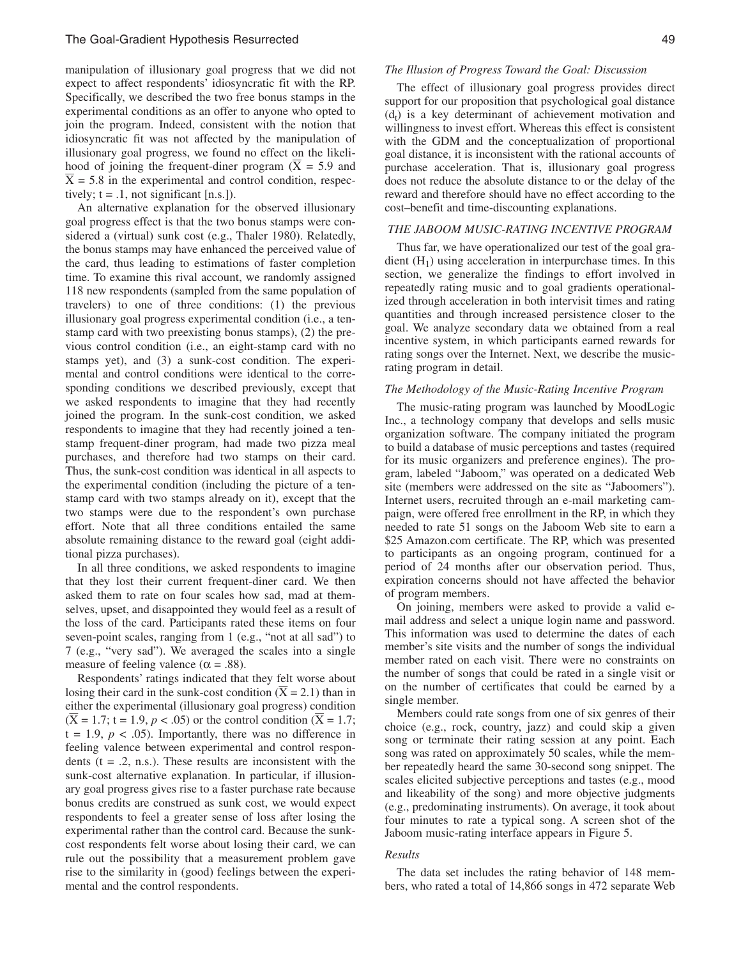manipulation of illusionary goal progress that we did not expect to affect respondents' idiosyncratic fit with the RP. Specifically, we described the two free bonus stamps in the experimental conditions as an offer to anyone who opted to join the program. Indeed, consistent with the notion that idiosyncratic fit was not affected by the manipulation of illusionary goal progress, we found no effect on the likelihood of joining the frequent-diner program ( $\overline{X}$  = 5.9 and  $X = 5.8$  in the experimental and control condition, respectively;  $t = .1$ , not significant [n.s.]).

An alternative explanation for the observed illusionary goal progress effect is that the two bonus stamps were considered a (virtual) sunk cost (e.g., Thaler 1980). Relatedly, the bonus stamps may have enhanced the perceived value of the card, thus leading to estimations of faster completion time. To examine this rival account, we randomly assigned 118 new respondents (sampled from the same population of travelers) to one of three conditions: (1) the previous illusionary goal progress experimental condition (i.e., a tenstamp card with two preexisting bonus stamps), (2) the previous control condition (i.e., an eight-stamp card with no stamps yet), and (3) a sunk-cost condition. The experimental and control conditions were identical to the corresponding conditions we described previously, except that we asked respondents to imagine that they had recently joined the program. In the sunk-cost condition, we asked respondents to imagine that they had recently joined a tenstamp frequent-diner program, had made two pizza meal purchases, and therefore had two stamps on their card. Thus, the sunk-cost condition was identical in all aspects to the experimental condition (including the picture of a tenstamp card with two stamps already on it), except that the two stamps were due to the respondent's own purchase effort. Note that all three conditions entailed the same absolute remaining distance to the reward goal (eight additional pizza purchases).

In all three conditions, we asked respondents to imagine that they lost their current frequent-diner card. We then asked them to rate on four scales how sad, mad at themselves, upset, and disappointed they would feel as a result of the loss of the card. Participants rated these items on four seven-point scales, ranging from 1 (e.g., "not at all sad") to 7 (e.g., "very sad"). We averaged the scales into a single measure of feeling valence ( $\alpha$  = .88).

Respondents' ratings indicated that they felt worse about losing their card in the sunk-cost condition ( $\overline{X} = 2.1$ ) than in either the experimental (illusionary goal progress) condition  $(\overline{X} = 1.7; t = 1.9, p < .05)$  or the control condition  $(\overline{X} = 1.7;$  $t = 1.9$ ,  $p < .05$ ). Importantly, there was no difference in feeling valence between experimental and control respondents ( $t = .2$ , n.s.). These results are inconsistent with the sunk-cost alternative explanation. In particular, if illusionary goal progress gives rise to a faster purchase rate because bonus credits are construed as sunk cost, we would expect respondents to feel a greater sense of loss after losing the experimental rather than the control card. Because the sunkcost respondents felt worse about losing their card, we can rule out the possibility that a measurement problem gave rise to the similarity in (good) feelings between the experimental and the control respondents.

### *The Illusion of Progress Toward the Goal: Discussion*

The effect of illusionary goal progress provides direct support for our proposition that psychological goal distance  $(d_t)$  is a key determinant of achievement motivation and willingness to invest effort. Whereas this effect is consistent with the GDM and the conceptualization of proportional goal distance, it is inconsistent with the rational accounts of purchase acceleration. That is, illusionary goal progress does not reduce the absolute distance to or the delay of the reward and therefore should have no effect according to the cost–benefit and time-discounting explanations.

## *THE JABOOM MUSIC-RATING INCENTIVE PROGRAM*

Thus far, we have operationalized our test of the goal gradient  $(H_1)$  using acceleration in interpurchase times. In this section, we generalize the findings to effort involved in repeatedly rating music and to goal gradients operationalized through acceleration in both intervisit times and rating quantities and through increased persistence closer to the goal. We analyze secondary data we obtained from a real incentive system, in which participants earned rewards for rating songs over the Internet. Next, we describe the musicrating program in detail.

### *The Methodology of the Music-Rating Incentive Program*

The music-rating program was launched by MoodLogic Inc., a technology company that develops and sells music organization software. The company initiated the program to build a database of music perceptions and tastes (required for its music organizers and preference engines). The program, labeled "Jaboom," was operated on a dedicated Web site (members were addressed on the site as "Jaboomers"). Internet users, recruited through an e-mail marketing campaign, were offered free enrollment in the RP, in which they needed to rate 51 songs on the Jaboom Web site to earn a \$25 Amazon.com certificate. The RP, which was presented to participants as an ongoing program, continued for a period of 24 months after our observation period. Thus, expiration concerns should not have affected the behavior of program members.

On joining, members were asked to provide a valid email address and select a unique login name and password. This information was used to determine the dates of each member's site visits and the number of songs the individual member rated on each visit. There were no constraints on the number of songs that could be rated in a single visit or on the number of certificates that could be earned by a single member.

Members could rate songs from one of six genres of their choice (e.g., rock, country, jazz) and could skip a given song or terminate their rating session at any point. Each song was rated on approximately 50 scales, while the member repeatedly heard the same 30-second song snippet. The scales elicited subjective perceptions and tastes (e.g., mood and likeability of the song) and more objective judgments (e.g., predominating instruments). On average, it took about four minutes to rate a typical song. A screen shot of the Jaboom music-rating interface appears in Figure 5.

#### *Results*

The data set includes the rating behavior of 148 members, who rated a total of 14,866 songs in 472 separate Web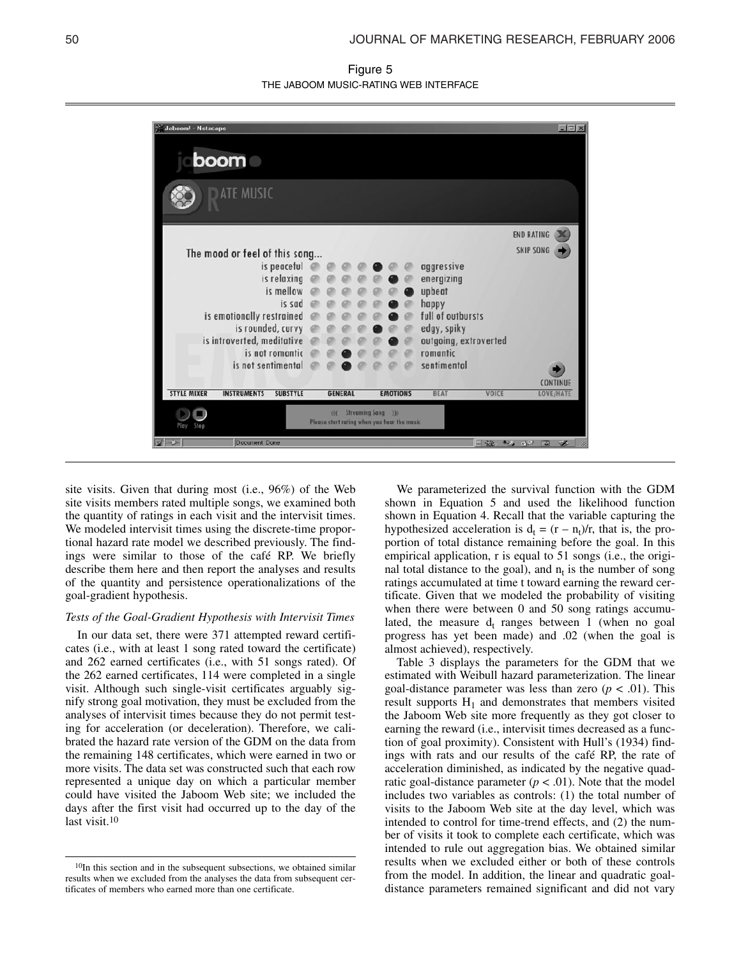Figure 5 THE JABOOM MUSIC-RATING WEB INTERFACE



site visits. Given that during most (i.e., 96%) of the Web site visits members rated multiple songs, we examined both the quantity of ratings in each visit and the intervisit times. We modeled intervisit times using the discrete-time proportional hazard rate model we described previously. The findings were similar to those of the café RP. We briefly describe them here and then report the analyses and results of the quantity and persistence operationalizations of the goal-gradient hypothesis.

## *Tests of the Goal-Gradient Hypothesis with Intervisit Times*

In our data set, there were 371 attempted reward certificates (i.e., with at least 1 song rated toward the certificate) and 262 earned certificates (i.e., with 51 songs rated). Of the 262 earned certificates, 114 were completed in a single visit. Although such single-visit certificates arguably signify strong goal motivation, they must be excluded from the analyses of intervisit times because they do not permit testing for acceleration (or deceleration). Therefore, we calibrated the hazard rate version of the GDM on the data from the remaining 148 certificates, which were earned in two or more visits. The data set was constructed such that each row represented a unique day on which a particular member could have visited the Jaboom Web site; we included the days after the first visit had occurred up to the day of the last visit.10

We parameterized the survival function with the GDM shown in Equation 5 and used the likelihood function shown in Equation 4. Recall that the variable capturing the hypothesized acceleration is  $d_t = (r - n_t)/r$ , that is, the proportion of total distance remaining before the goal. In this empirical application, r is equal to 51 songs (i.e., the original total distance to the goal), and  $n_t$  is the number of song ratings accumulated at time t toward earning the reward certificate. Given that we modeled the probability of visiting when there were between 0 and 50 song ratings accumulated, the measure  $d_t$  ranges between 1 (when no goal progress has yet been made) and .02 (when the goal is almost achieved), respectively.

Table 3 displays the parameters for the GDM that we estimated with Weibull hazard parameterization. The linear goal-distance parameter was less than zero  $(p < .01)$ . This result supports  $H_1$  and demonstrates that members visited the Jaboom Web site more frequently as they got closer to earning the reward (i.e., intervisit times decreased as a function of goal proximity). Consistent with Hull's (1934) findings with rats and our results of the café RP, the rate of acceleration diminished, as indicated by the negative quadratic goal-distance parameter  $(p < .01)$ . Note that the model includes two variables as controls: (1) the total number of visits to the Jaboom Web site at the day level, which was intended to control for time-trend effects, and (2) the number of visits it took to complete each certificate, which was intended to rule out aggregation bias. We obtained similar results when we excluded either or both of these controls from the model. In addition, the linear and quadratic goaldistance parameters remained significant and did not vary

<sup>10</sup>In this section and in the subsequent subsections, we obtained similar results when we excluded from the analyses the data from subsequent certificates of members who earned more than one certificate.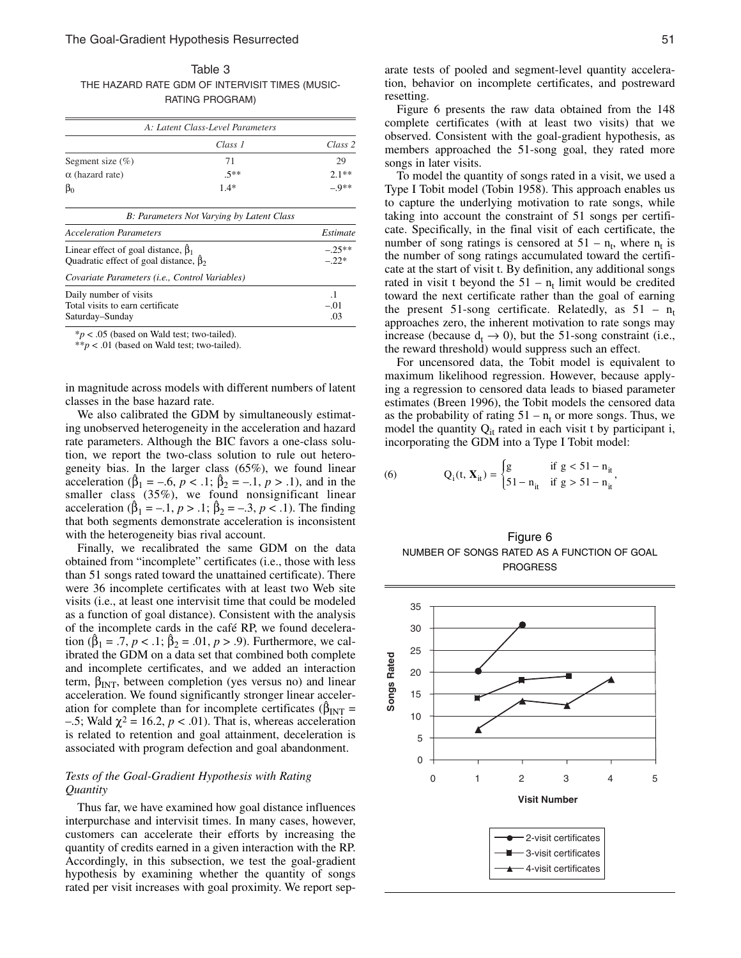Table 3 THE HAZARD RATE GDM OF INTERVISIT TIMES (MUSIC-RATING PROGRAM)

|                                | A: Latent Class-Level Parameters          |                    |
|--------------------------------|-------------------------------------------|--------------------|
|                                | Class 1                                   | Class <sub>2</sub> |
| Segment size $(\% )$           | 71                                        | 29                 |
| $\alpha$ (hazard rate)         | $.5***$                                   | $2.1**$            |
| $\beta_0$                      | $1.4*$                                    | $-9**$             |
|                                | B: Parameters Not Varying by Latent Class |                    |
| <b>Acceleration Parameters</b> |                                           | Estimate           |

| Acceleration Parameters                                                                         | Estimat            |
|-------------------------------------------------------------------------------------------------|--------------------|
| Linear effect of goal distance, $\hat{\beta}_1$<br>Quadratic effect of goal distance, $\beta_2$ | $-.25**$<br>$-22*$ |
| Covariate Parameters ( <i>i.e.</i> , Control Variables)                                         |                    |
| Daily number of visits<br>Total visits to earn certificate<br>Saturday-Sunday                   | $-.01$<br>.03      |

\**p* < .05 (based on Wald test; two-tailed).

\*\**p* < .01 (based on Wald test; two-tailed).

in magnitude across models with different numbers of latent classes in the base hazard rate.

We also calibrated the GDM by simultaneously estimating unobserved heterogeneity in the acceleration and hazard rate parameters. Although the BIC favors a one-class solution, we report the two-class solution to rule out heterogeneity bias. In the larger class (65%), we found linear acceleration ( $\beta_1 = -.6, p < .1; \beta_2 = -.1, p > .1$ ), and in the smaller class (35%), we found nonsignificant linear acceleration ( $\beta_1 = -1$ ,  $p > 0.1$ ;  $\beta_2 = -0.3$ ,  $p < 0.1$ ). The finding that both segments demonstrate acceleration is inconsistent with the heterogeneity bias rival account.

Finally, we recalibrated the same GDM on the data obtained from "incomplete" certificates (i.e., those with less than 51 songs rated toward the unattained certificate). There were 36 incomplete certificates with at least two Web site visits (i.e., at least one intervisit time that could be modeled as a function of goal distance). Consistent with the analysis of the incomplete cards in the café RP, we found deceleration ( $\beta_1 = .7, p < .1; \beta_2 = .01, p > .9$ ). Furthermore, we calibrated the GDM on a data set that combined both complete and incomplete certificates, and we added an interaction term,  $\beta_{\text{INT}}$ , between completion (yes versus no) and linear acceleration. We found significantly stronger linear acceleration for complete than for incomplete certificates ( $\beta_{\text{INT}}$  = –.5; Wald  $\chi^2$  = 16.2, *p* < .01). That is, whereas acceleration is related to retention and goal attainment, deceleration is associated with program defection and goal abandonment.

# *Tests of the Goal-Gradient Hypothesis with Rating Quantity*

Thus far, we have examined how goal distance influences interpurchase and intervisit times. In many cases, however, customers can accelerate their efforts by increasing the quantity of credits earned in a given interaction with the RP. Accordingly, in this subsection, we test the goal-gradient hypothesis by examining whether the quantity of songs rated per visit increases with goal proximity. We report separate tests of pooled and segment-level quantity acceleration, behavior on incomplete certificates, and postreward resetting.

Figure 6 presents the raw data obtained from the 148 complete certificates (with at least two visits) that we observed. Consistent with the goal-gradient hypothesis, as members approached the 51-song goal, they rated more songs in later visits.

To model the quantity of songs rated in a visit, we used a Type I Tobit model (Tobin 1958). This approach enables us to capture the underlying motivation to rate songs, while taking into account the constraint of 51 songs per certificate. Specifically, in the final visit of each certificate, the number of song ratings is censored at  $51 - n_t$ , where  $n_t$  is the number of song ratings accumulated toward the certificate at the start of visit t. By definition, any additional songs rated in visit t beyond the  $51 - n_t$  limit would be credited toward the next certificate rather than the goal of earning the present 51-song certificate. Relatedly, as  $51 - n_t$ approaches zero, the inherent motivation to rate songs may increase (because  $d_t \rightarrow 0$ ), but the 51-song constraint (i.e., the reward threshold) would suppress such an effect.

For uncensored data, the Tobit model is equivalent to maximum likelihood regression. However, because applying a regression to censored data leads to biased parameter estimates (Breen 1996), the Tobit models the censored data as the probability of rating  $51 - n_t$  or more songs. Thus, we model the quantity  $Q_{it}$  rated in each visit t by participant i, incorporating the GDM into a Type I Tobit model:

(6) 
$$
Q_i(t, X_{it}) = \begin{cases} g & \text{if } g < 51 - n_{it} \\ 51 - n_{it} & \text{if } g > 51 - n_{it} \end{cases}
$$

Figure 6 NUMBER OF SONGS RATED AS A FUNCTION OF GOAL PROGRESS

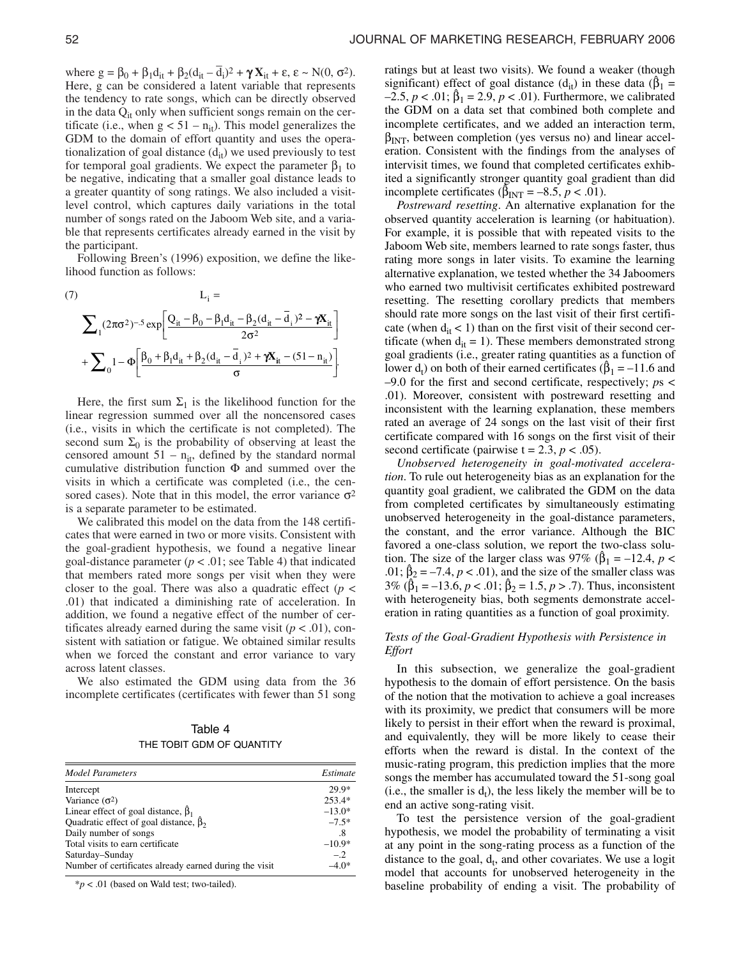where  $g = \beta_0 + \beta_1 d_{it} + \beta_2 (d_{it} - \overline{d}_i)^2 + \gamma X_{it} + \varepsilon, \varepsilon \sim N(0, \sigma^2)$ . Here, g can be considered a latent variable that represents the tendency to rate songs, which can be directly observed in the data  $Q_{it}$  only when sufficient songs remain on the certificate (i.e., when  $g < 51 - n_{it}$ ). This model generalizes the GDM to the domain of effort quantity and uses the operationalization of goal distance  $(d_{it})$  we used previously to test for temporal goal gradients. We expect the parameter  $β_1$  to be negative, indicating that a smaller goal distance leads to a greater quantity of song ratings. We also included a visitlevel control, which captures daily variations in the total number of songs rated on the Jaboom Web site, and a variable that represents certificates already earned in the visit by the participant.

Following Breen's (1996) exposition, we define the likelihood function as follows:

(7)  
\n
$$
L_{i} = \sum_{1} (2\pi\sigma^{2})^{-.5} \exp \left[ \frac{Q_{it} - \beta_{0} - \beta_{1}d_{it} - \beta_{2}(d_{it} - \bar{d}_{i})^{2} - \gamma X_{it}}{2\sigma^{2}} \right]
$$
\n
$$
+ \sum_{0} 1 - \Phi \left[ \frac{\beta_{0} + \beta_{1}d_{it} + \beta_{2}(d_{it} - \bar{d}_{i})^{2} + \gamma X_{it} - (51 - n_{it})}{\sigma} \right].
$$

Here, the first sum  $\Sigma_1$  is the likelihood function for the linear regression summed over all the noncensored cases (i.e., visits in which the certificate is not completed). The second sum  $\Sigma_0$  is the probability of observing at least the censored amount  $51 - n_{it}$ , defined by the standard normal cumulative distribution function  $\Phi$  and summed over the visits in which a certificate was completed (i.e., the censored cases). Note that in this model, the error variance  $\sigma^2$ is a separate parameter to be estimated.

We calibrated this model on the data from the 148 certificates that were earned in two or more visits. Consistent with the goal-gradient hypothesis, we found a negative linear goal-distance parameter  $(p < .01$ ; see Table 4) that indicated that members rated more songs per visit when they were closer to the goal. There was also a quadratic effect ( $p <$ .01) that indicated a diminishing rate of acceleration. In addition, we found a negative effect of the number of certificates already earned during the same visit  $(p < .01)$ , consistent with satiation or fatigue. We obtained similar results when we forced the constant and error variance to vary across latent classes.

We also estimated the GDM using data from the 36 incomplete certificates (certificates with fewer than 51 song

Table 4 THE TOBIT GDM OF QUANTITY

| <b>Model Parameters</b>                                | Estimate |
|--------------------------------------------------------|----------|
| Intercept                                              | 29.9*    |
| Variance $(\sigma^2)$                                  | 253.4*   |
| Linear effect of goal distance, $\beta_1$              | $-13.0*$ |
| Quadratic effect of goal distance, $\hat{\beta}_2$     | $-7.5*$  |
| Daily number of songs                                  | .8       |
| Total visits to earn certificate                       | $-10.9*$ |
| Saturday-Sunday                                        | $-.2$    |
| Number of certificates already earned during the visit | $-4.0*$  |

\**p* < .01 (based on Wald test; two-tailed).

ratings but at least two visits). We found a weaker (though significant) effect of goal distance ( $d_{it}$ ) in these data ( $\beta_1$  =  $-2.5, p < .01; \hat{\beta}_1 = 2.9, p < .01$ ). Furthermore, we calibrated the GDM on a data set that combined both complete and incomplete certificates, and we added an interaction term,  $\beta_{\text{INT}}$ , between completion (yes versus no) and linear acceleration. Consistent with the findings from the analyses of intervisit times, we found that completed certificates exhibited a significantly stronger quantity goal gradient than did incomplete certificates ( $\hat{\beta}_{INT} = -8.5, p < .01$ ).

*Postreward resetting*. An alternative explanation for the observed quantity acceleration is learning (or habituation). For example, it is possible that with repeated visits to the Jaboom Web site, members learned to rate songs faster, thus rating more songs in later visits. To examine the learning alternative explanation, we tested whether the 34 Jaboomers who earned two multivisit certificates exhibited postreward resetting. The resetting corollary predicts that members should rate more songs on the last visit of their first certificate (when  $d_{it} < 1$ ) than on the first visit of their second certificate (when  $d_{it} = 1$ ). These members demonstrated strong goal gradients (i.e., greater rating quantities as a function of lower  $d_t$ ) on both of their earned certificates ( $\beta_1 = -11.6$  and –9.0 for the first and second certificate, respectively; *p*s < .01). Moreover, consistent with postreward resetting and inconsistent with the learning explanation, these members rated an average of 24 songs on the last visit of their first certificate compared with 16 songs on the first visit of their second certificate (pairwise  $t = 2.3$ ,  $p < .05$ ).

*Unobserved heterogeneity in goal-motivated acceleration*. To rule out heterogeneity bias as an explanation for the quantity goal gradient, we calibrated the GDM on the data from completed certificates by simultaneously estimating unobserved heterogeneity in the goal-distance parameters, the constant, and the error variance. Although the BIC favored a one-class solution, we report the two-class solution. The size of the larger class was 97% ( $\hat{\beta}_1 = -12.4$ ,  $p <$ .01;  $\beta_2 = -7.4$ ,  $p < .01$ ), and the size of the smaller class was  $3\%$  ( $\hat{\beta}_1 = -13.6$ ,  $p < .01$ ;  $\hat{\beta}_2 = 1.5$ ,  $p > .7$ ). Thus, inconsistent with heterogeneity bias, both segments demonstrate acceleration in rating quantities as a function of goal proximity.

# *Tests of the Goal-Gradient Hypothesis with Persistence in Effort*

In this subsection, we generalize the goal-gradient hypothesis to the domain of effort persistence. On the basis of the notion that the motivation to achieve a goal increases with its proximity, we predict that consumers will be more likely to persist in their effort when the reward is proximal, and equivalently, they will be more likely to cease their efforts when the reward is distal. In the context of the music-rating program, this prediction implies that the more songs the member has accumulated toward the 51-song goal  $(i.e., the smaller is d<sub>t</sub>)$ , the less likely the member will be to end an active song-rating visit.

To test the persistence version of the goal-gradient hypothesis, we model the probability of terminating a visit at any point in the song-rating process as a function of the distance to the goal,  $d_t$ , and other covariates. We use a logit model that accounts for unobserved heterogeneity in the baseline probability of ending a visit. The probability of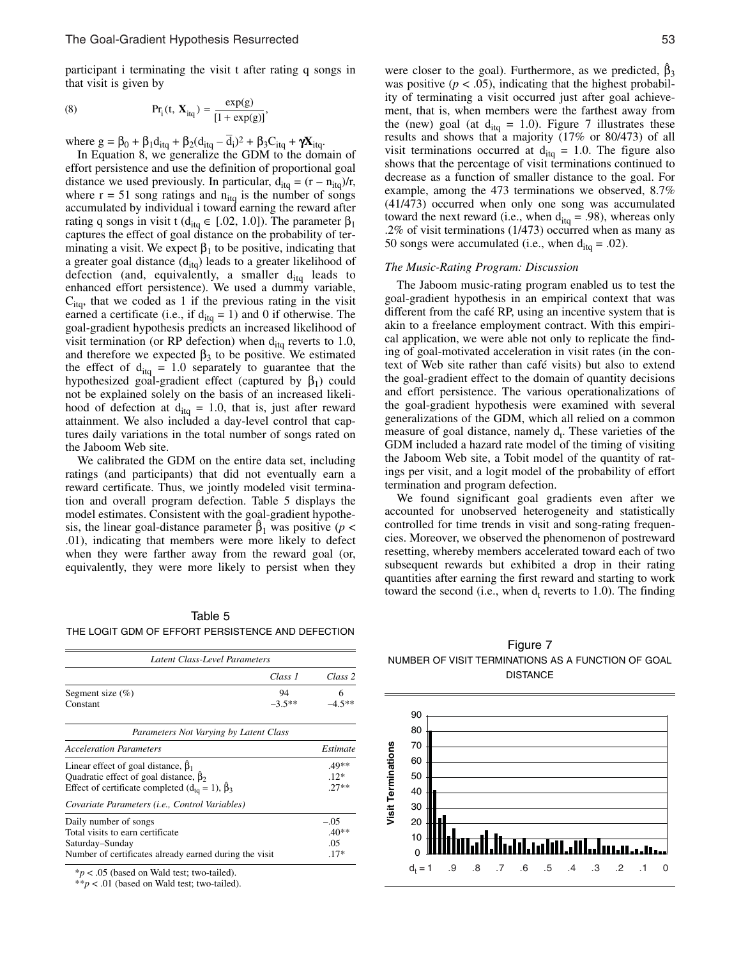participant i terminating the visit t after rating q songs in that visit is given by

(8) 
$$
Pr_{i}(t, X_{iq}) = \frac{exp(g)}{[1 + exp(g)]},
$$

where  $g = \beta_0 + \beta_1 d_{itq} + \beta_2 (d_{itq} - d_i)^2 + \beta_3 C_{itq} + \gamma X_{itq}$ .

In Equation 8, we generalize the GDM to the domain of effort persistence and use the definition of proportional goal distance we used previously. In particular,  $d_{itq} = (r - n_{itq})/r$ , where  $r = 51$  song ratings and  $n_{itq}$  is the number of songs accumulated by individual i toward earning the reward after rating q songs in visit t ( $d_{itq} \in [.02, 1.0]$ ). The parameter  $\beta_1$ captures the effect of goal distance on the probability of terminating a visit. We expect  $\beta_1$  to be positive, indicating that a greater goal distance  $(d_{itq})$  leads to a greater likelihood of defection (and, equivalently, a smaller  $d_{itq}$  leads to enhanced effort persistence). We used a dummy variable,  $C_{\text{ita}}$ , that we coded as 1 if the previous rating in the visit earned a certificate (i.e., if  $d_{itq} = 1$ ) and 0 if otherwise. The goal-gradient hypothesis predicts an increased likelihood of visit termination (or RP defection) when  $d_{itq}$  reverts to 1.0, and therefore we expected  $\beta_3$  to be positive. We estimated the effect of  $d_{itq} = 1.0$  separately to guarantee that the hypothesized goal-gradient effect (captured by  $\beta_1$ ) could not be explained solely on the basis of an increased likelihood of defection at  $d_{itq} = 1.0$ , that is, just after reward attainment. We also included a day-level control that captures daily variations in the total number of songs rated on the Jaboom Web site.

We calibrated the GDM on the entire data set, including ratings (and participants) that did not eventually earn a reward certificate. Thus, we jointly modeled visit termination and overall program defection. Table 5 displays the model estimates. Consistent with the goal-gradient hypothesis, the linear goal-distance parameter  $\beta_1$  was positive (*p* < .01), indicating that members were more likely to defect when they were farther away from the reward goal (or, equivalently, they were more likely to persist when they

Table 5 THE LOGIT GDM OF EFFORT PERSISTENCE AND DEFECTION

| Latent Class-Level Parameters                                                                                                                                  |                |                                    |
|----------------------------------------------------------------------------------------------------------------------------------------------------------------|----------------|------------------------------------|
|                                                                                                                                                                | Class 1        | Class 2                            |
| Segment size $(\% )$<br>Constant                                                                                                                               | 94<br>$-3.5**$ | 6<br>$-4.5**$                      |
| Parameters Not Varying by Latent Class                                                                                                                         |                |                                    |
| <b>Acceleration Parameters</b>                                                                                                                                 |                | Estimate                           |
| Linear effect of goal distance, $\beta_1$<br>Quadratic effect of goal distance, $\beta_2$<br>Effect of certificate completed $(d_{\text{to}} = 1)$ , $\beta_3$ |                | $.49**$<br>$12*$<br>$27**$         |
| Covariate Parameters ( <i>i.e.</i> , Control Variables)                                                                                                        |                |                                    |
| Daily number of songs<br>Total visits to earn certificate<br>Saturday–Sunday<br>Number of certificates already earned during the visit                         |                | $-.05$<br>$.40**$<br>.05<br>$.17*$ |

\**p* < .05 (based on Wald test; two-tailed).

\*\**p* < .01 (based on Wald test; two-tailed).

were closer to the goal). Furthermore, as we predicted,  $\beta_3$ was positive  $(p < .05)$ , indicating that the highest probability of terminating a visit occurred just after goal achievement, that is, when members were the farthest away from the (new) goal (at  $d_{itq} = 1.0$ ). Figure 7 illustrates these results and shows that a majority (17% or 80/473) of all visit terminations occurred at  $d_{itq} = 1.0$ . The figure also shows that the percentage of visit terminations continued to decrease as a function of smaller distance to the goal. For example, among the 473 terminations we observed, 8.7% (41/473) occurred when only one song was accumulated toward the next reward (i.e., when  $d_{itq} = .98$ ), whereas only .2% of visit terminations (1/473) occurred when as many as 50 songs were accumulated (i.e., when  $d_{itq} = .02$ ).

### *The Music-Rating Program: Discussion*

The Jaboom music-rating program enabled us to test the goal-gradient hypothesis in an empirical context that was different from the café RP, using an incentive system that is akin to a freelance employment contract. With this empirical application, we were able not only to replicate the finding of goal-motivated acceleration in visit rates (in the context of Web site rather than café visits) but also to extend the goal-gradient effect to the domain of quantity decisions and effort persistence. The various operationalizations of the goal-gradient hypothesis were examined with several generalizations of the GDM, which all relied on a common measure of goal distance, namely  $d_t$ . These varieties of the GDM included a hazard rate model of the timing of visiting the Jaboom Web site, a Tobit model of the quantity of ratings per visit, and a logit model of the probability of effort termination and program defection.

We found significant goal gradients even after we accounted for unobserved heterogeneity and statistically controlled for time trends in visit and song-rating frequencies. Moreover, we observed the phenomenon of postreward resetting, whereby members accelerated toward each of two subsequent rewards but exhibited a drop in their rating quantities after earning the first reward and starting to work toward the second (i.e., when  $d_t$  reverts to 1.0). The finding

Figure 7 NUMBER OF VISIT TERMINATIONS AS A FUNCTION OF GOAL DISTANCE

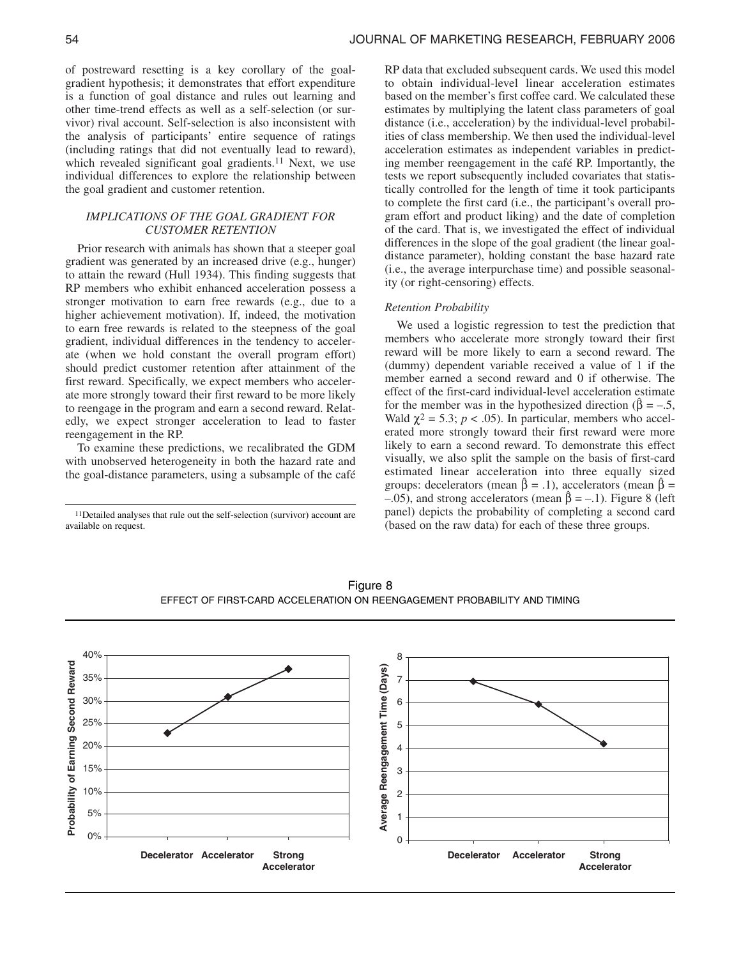of postreward resetting is a key corollary of the goalgradient hypothesis; it demonstrates that effort expenditure is a function of goal distance and rules out learning and other time-trend effects as well as a self-selection (or survivor) rival account. Self-selection is also inconsistent with the analysis of participants' entire sequence of ratings (including ratings that did not eventually lead to reward), which revealed significant goal gradients.<sup>11</sup> Next, we use individual differences to explore the relationship between the goal gradient and customer retention.

# *IMPLICATIONS OF THE GOAL GRADIENT FOR CUSTOMER RETENTION*

Prior research with animals has shown that a steeper goal gradient was generated by an increased drive (e.g., hunger) to attain the reward (Hull 1934). This finding suggests that RP members who exhibit enhanced acceleration possess a stronger motivation to earn free rewards (e.g., due to a higher achievement motivation). If, indeed, the motivation to earn free rewards is related to the steepness of the goal gradient, individual differences in the tendency to accelerate (when we hold constant the overall program effort) should predict customer retention after attainment of the first reward. Specifically, we expect members who accelerate more strongly toward their first reward to be more likely to reengage in the program and earn a second reward. Relatedly, we expect stronger acceleration to lead to faster reengagement in the RP.

To examine these predictions, we recalibrated the GDM with unobserved heterogeneity in both the hazard rate and the goal-distance parameters, using a subsample of the café

11Detailed analyses that rule out the self-selection (survivor) account are available on request.

RP data that excluded subsequent cards. We used this model to obtain individual-level linear acceleration estimates based on the member's first coffee card. We calculated these estimates by multiplying the latent class parameters of goal distance (i.e., acceleration) by the individual-level probabilities of class membership. We then used the individual-level acceleration estimates as independent variables in predicting member reengagement in the café RP. Importantly, the tests we report subsequently included covariates that statistically controlled for the length of time it took participants to complete the first card (i.e., the participant's overall program effort and product liking) and the date of completion of the card. That is, we investigated the effect of individual differences in the slope of the goal gradient (the linear goaldistance parameter), holding constant the base hazard rate (i.e., the average interpurchase time) and possible seasonality (or right-censoring) effects.

# *Retention Probability*

We used a logistic regression to test the prediction that members who accelerate more strongly toward their first reward will be more likely to earn a second reward. The (dummy) dependent variable received a value of 1 if the member earned a second reward and 0 if otherwise. The effect of the first-card individual-level acceleration estimate for the member was in the hypothesized direction ( $\hat{\beta} = -.5$ , Wald  $\chi^2 = 5.3$ ;  $p < .05$ ). In particular, members who accelerated more strongly toward their first reward were more likely to earn a second reward. To demonstrate this effect visually, we also split the sample on the basis of first-card estimated linear acceleration into three equally sized groups: decelerators (mean  $\hat{\beta} = .1$ ), accelerators (mean  $\hat{\beta} =$  $-0.05$ ), and strong accelerators (mean  $\hat{\beta} = -0.1$ ). Figure 8 (left panel) depicts the probability of completing a second card (based on the raw data) for each of these three groups.



Figure 8 EFFECT OF FIRST-CARD ACCELERATION ON REENGAGEMENT PROBABILITY AND TIMING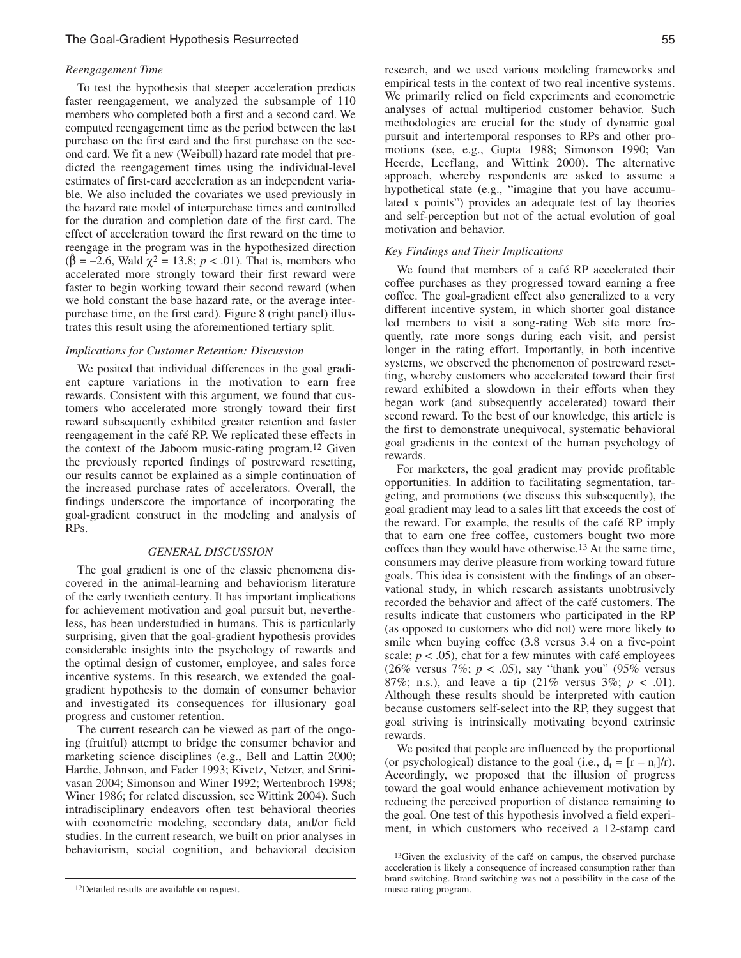# The Goal-Gradient Hypothesis Resurrected 55

### *Reengagement Time*

To test the hypothesis that steeper acceleration predicts faster reengagement, we analyzed the subsample of 110 members who completed both a first and a second card. We computed reengagement time as the period between the last purchase on the first card and the first purchase on the second card. We fit a new (Weibull) hazard rate model that predicted the reengagement times using the individual-level estimates of first-card acceleration as an independent variable. We also included the covariates we used previously in the hazard rate model of interpurchase times and controlled for the duration and completion date of the first card. The effect of acceleration toward the first reward on the time to reengage in the program was in the hypothesized direction ( $\hat{\beta}$  = –2.6, Wald  $\gamma^2$  = 13.8; *p* < .01). That is, members who accelerated more strongly toward their first reward were faster to begin working toward their second reward (when we hold constant the base hazard rate, or the average interpurchase time, on the first card). Figure 8 (right panel) illustrates this result using the aforementioned tertiary split.

## *Implications for Customer Retention: Discussion*

We posited that individual differences in the goal gradient capture variations in the motivation to earn free rewards. Consistent with this argument, we found that customers who accelerated more strongly toward their first reward subsequently exhibited greater retention and faster reengagement in the café RP. We replicated these effects in the context of the Jaboom music-rating program.12 Given the previously reported findings of postreward resetting, our results cannot be explained as a simple continuation of the increased purchase rates of accelerators. Overall, the findings underscore the importance of incorporating the goal-gradient construct in the modeling and analysis of RPs.

### *GENERAL DISCUSSION*

The goal gradient is one of the classic phenomena discovered in the animal-learning and behaviorism literature of the early twentieth century. It has important implications for achievement motivation and goal pursuit but, nevertheless, has been understudied in humans. This is particularly surprising, given that the goal-gradient hypothesis provides considerable insights into the psychology of rewards and the optimal design of customer, employee, and sales force incentive systems. In this research, we extended the goalgradient hypothesis to the domain of consumer behavior and investigated its consequences for illusionary goal progress and customer retention.

The current research can be viewed as part of the ongoing (fruitful) attempt to bridge the consumer behavior and marketing science disciplines (e.g., Bell and Lattin 2000; Hardie, Johnson, and Fader 1993; Kivetz, Netzer, and Srinivasan 2004; Simonson and Winer 1992; Wertenbroch 1998; Winer 1986; for related discussion, see Wittink 2004). Such intradisciplinary endeavors often test behavioral theories with econometric modeling, secondary data, and/or field studies. In the current research, we built on prior analyses in behaviorism, social cognition, and behavioral decision  $\frac{13}{13}$   $\frac{13}{13}$  of the exclusivity of the café on campus, the observed purchase

research, and we used various modeling frameworks and empirical tests in the context of two real incentive systems. We primarily relied on field experiments and econometric analyses of actual multiperiod customer behavior. Such methodologies are crucial for the study of dynamic goal pursuit and intertemporal responses to RPs and other promotions (see, e.g., Gupta 1988; Simonson 1990; Van Heerde, Leeflang, and Wittink 2000). The alternative approach, whereby respondents are asked to assume a hypothetical state (e.g., "imagine that you have accumulated x points") provides an adequate test of lay theories and self-perception but not of the actual evolution of goal motivation and behavior.

### *Key Findings and Their Implications*

We found that members of a café RP accelerated their coffee purchases as they progressed toward earning a free coffee. The goal-gradient effect also generalized to a very different incentive system, in which shorter goal distance led members to visit a song-rating Web site more frequently, rate more songs during each visit, and persist longer in the rating effort. Importantly, in both incentive systems, we observed the phenomenon of postreward resetting, whereby customers who accelerated toward their first reward exhibited a slowdown in their efforts when they began work (and subsequently accelerated) toward their second reward. To the best of our knowledge, this article is the first to demonstrate unequivocal, systematic behavioral goal gradients in the context of the human psychology of rewards.

For marketers, the goal gradient may provide profitable opportunities. In addition to facilitating segmentation, targeting, and promotions (we discuss this subsequently), the goal gradient may lead to a sales lift that exceeds the cost of the reward. For example, the results of the café RP imply that to earn one free coffee, customers bought two more coffees than they would have otherwise.13 At the same time, consumers may derive pleasure from working toward future goals. This idea is consistent with the findings of an observational study, in which research assistants unobtrusively recorded the behavior and affect of the café customers. The results indicate that customers who participated in the RP (as opposed to customers who did not) were more likely to smile when buying coffee (3.8 versus 3.4 on a five-point scale;  $p < .05$ ), chat for a few minutes with café employees (26% versus 7%;  $p < .05$ ), say "thank you" (95% versus 87%; n.s.), and leave a tip  $(21\% \text{ versus } 3\%; p < .01)$ . Although these results should be interpreted with caution because customers self-select into the RP, they suggest that goal striving is intrinsically motivating beyond extrinsic rewards.

We posited that people are influenced by the proportional (or psychological) distance to the goal (i.e.,  $d_t = [r - n_t]/r$ ). Accordingly, we proposed that the illusion of progress toward the goal would enhance achievement motivation by reducing the perceived proportion of distance remaining to the goal. One test of this hypothesis involved a field experiment, in which customers who received a 12-stamp card

<sup>12</sup>Detailed results are available on request.

acceleration is likely a consequence of increased consumption rather than brand switching. Brand switching was not a possibility in the case of the music-rating program.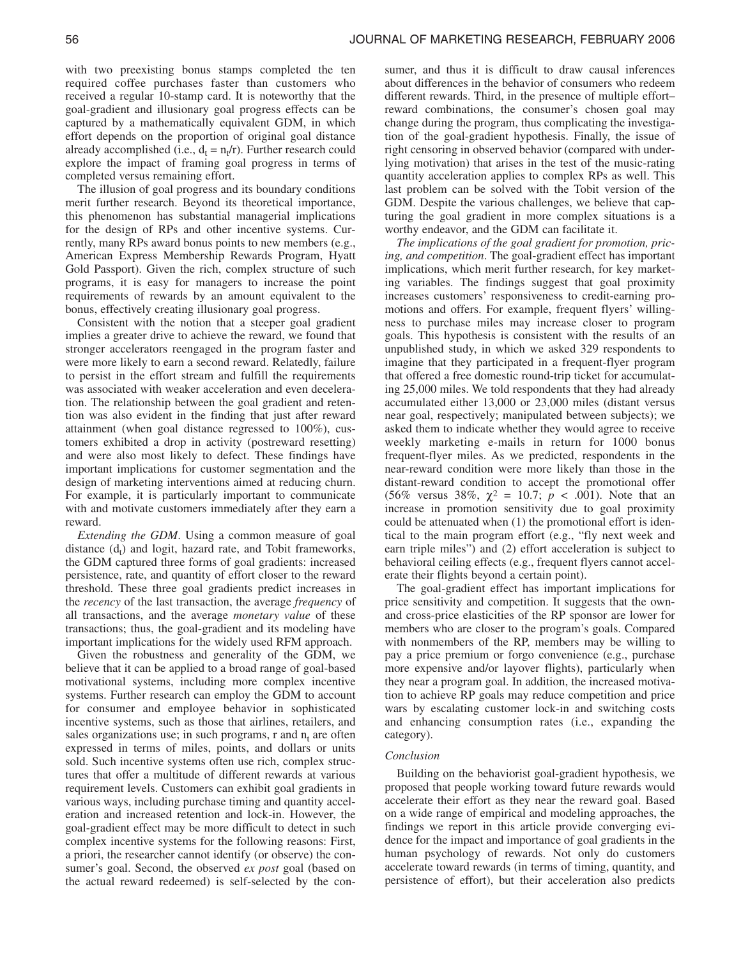with two preexisting bonus stamps completed the ten required coffee purchases faster than customers who received a regular 10-stamp card. It is noteworthy that the goal-gradient and illusionary goal progress effects can be captured by a mathematically equivalent GDM, in which effort depends on the proportion of original goal distance already accomplished (i.e.,  $d_t = n_t/r$ ). Further research could explore the impact of framing goal progress in terms of completed versus remaining effort.

The illusion of goal progress and its boundary conditions merit further research. Beyond its theoretical importance, this phenomenon has substantial managerial implications for the design of RPs and other incentive systems. Currently, many RPs award bonus points to new members (e.g., American Express Membership Rewards Program, Hyatt Gold Passport). Given the rich, complex structure of such programs, it is easy for managers to increase the point requirements of rewards by an amount equivalent to the bonus, effectively creating illusionary goal progress.

Consistent with the notion that a steeper goal gradient implies a greater drive to achieve the reward, we found that stronger accelerators reengaged in the program faster and were more likely to earn a second reward. Relatedly, failure to persist in the effort stream and fulfill the requirements was associated with weaker acceleration and even deceleration. The relationship between the goal gradient and retention was also evident in the finding that just after reward attainment (when goal distance regressed to 100%), customers exhibited a drop in activity (postreward resetting) and were also most likely to defect. These findings have important implications for customer segmentation and the design of marketing interventions aimed at reducing churn. For example, it is particularly important to communicate with and motivate customers immediately after they earn a reward.

*Extending the GDM*. Using a common measure of goal distance  $(d_t)$  and logit, hazard rate, and Tobit frameworks, the GDM captured three forms of goal gradients: increased persistence, rate, and quantity of effort closer to the reward threshold. These three goal gradients predict increases in the *recency* of the last transaction, the average *frequency* of all transactions, and the average *monetary value* of these transactions; thus, the goal-gradient and its modeling have important implications for the widely used RFM approach.

Given the robustness and generality of the GDM, we believe that it can be applied to a broad range of goal-based motivational systems, including more complex incentive systems. Further research can employ the GDM to account for consumer and employee behavior in sophisticated incentive systems, such as those that airlines, retailers, and sales organizations use; in such programs, r and  $n_t$  are often expressed in terms of miles, points, and dollars or units sold. Such incentive systems often use rich, complex structures that offer a multitude of different rewards at various requirement levels. Customers can exhibit goal gradients in various ways, including purchase timing and quantity acceleration and increased retention and lock-in. However, the goal-gradient effect may be more difficult to detect in such complex incentive systems for the following reasons: First, a priori, the researcher cannot identify (or observe) the consumer's goal. Second, the observed *ex post* goal (based on the actual reward redeemed) is self-selected by the con-

sumer, and thus it is difficult to draw causal inferences about differences in the behavior of consumers who redeem different rewards. Third, in the presence of multiple effort– reward combinations, the consumer's chosen goal may change during the program, thus complicating the investigation of the goal-gradient hypothesis. Finally, the issue of right censoring in observed behavior (compared with underlying motivation) that arises in the test of the music-rating quantity acceleration applies to complex RPs as well. This last problem can be solved with the Tobit version of the GDM. Despite the various challenges, we believe that capturing the goal gradient in more complex situations is a worthy endeavor, and the GDM can facilitate it.

*The implications of the goal gradient for promotion, pricing, and competition*. The goal-gradient effect has important implications, which merit further research, for key marketing variables. The findings suggest that goal proximity increases customers' responsiveness to credit-earning promotions and offers. For example, frequent flyers' willingness to purchase miles may increase closer to program goals. This hypothesis is consistent with the results of an unpublished study, in which we asked 329 respondents to imagine that they participated in a frequent-flyer program that offered a free domestic round-trip ticket for accumulating 25,000 miles. We told respondents that they had already accumulated either 13,000 or 23,000 miles (distant versus near goal, respectively; manipulated between subjects); we asked them to indicate whether they would agree to receive weekly marketing e-mails in return for 1000 bonus frequent-flyer miles. As we predicted, respondents in the near-reward condition were more likely than those in the distant-reward condition to accept the promotional offer (56% versus 38%,  $\chi^2 = 10.7$ ;  $p < .001$ ). Note that an increase in promotion sensitivity due to goal proximity could be attenuated when (1) the promotional effort is identical to the main program effort (e.g., "fly next week and earn triple miles") and (2) effort acceleration is subject to behavioral ceiling effects (e.g., frequent flyers cannot accelerate their flights beyond a certain point).

The goal-gradient effect has important implications for price sensitivity and competition. It suggests that the ownand cross-price elasticities of the RP sponsor are lower for members who are closer to the program's goals. Compared with nonmembers of the RP, members may be willing to pay a price premium or forgo convenience (e.g., purchase more expensive and/or layover flights), particularly when they near a program goal. In addition, the increased motivation to achieve RP goals may reduce competition and price wars by escalating customer lock-in and switching costs and enhancing consumption rates (i.e., expanding the category).

### *Conclusion*

Building on the behaviorist goal-gradient hypothesis, we proposed that people working toward future rewards would accelerate their effort as they near the reward goal. Based on a wide range of empirical and modeling approaches, the findings we report in this article provide converging evidence for the impact and importance of goal gradients in the human psychology of rewards. Not only do customers accelerate toward rewards (in terms of timing, quantity, and persistence of effort), but their acceleration also predicts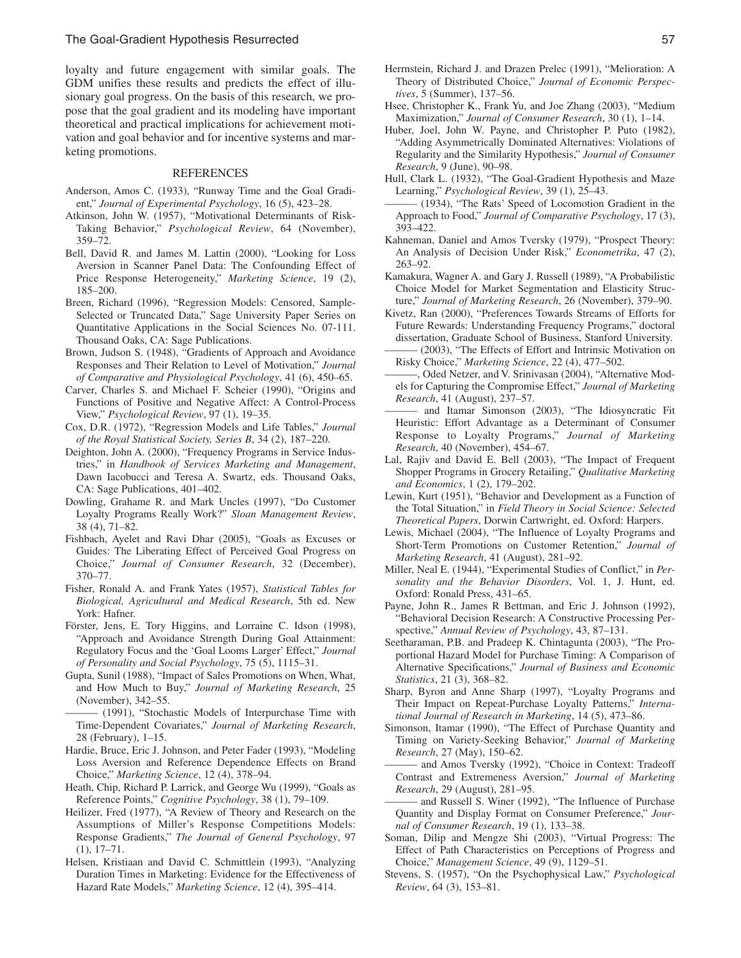loyalty and future engagement with similar goals. The GDM unifies these results and predicts the effect of illusionary goal progress. On the basis of this research, we propose that the goal gradient and its modeling have important theoretical and practical implications for achievement motivation and goal behavior and for incentive systems and marketing promotions.

# REFERENCES

- Anderson, Amos C. (1933), "Runway Time and the Goal Gradient," *Journal of Experimental Psychology*, 16 (5), 423–28.
- Atkinson, John W. (1957), "Motivational Determinants of Risk-Taking Behavior," *Psychological Review*, 64 (November), 359–72.
- Bell, David R. and James M. Lattin (2000), "Looking for Loss Aversion in Scanner Panel Data: The Confounding Effect of Price Response Heterogeneity," *Marketing Science*, 19 (2), 185–200.
- Breen, Richard (1996), "Regression Models: Censored, Sample-Selected or Truncated Data," Sage University Paper Series on Quantitative Applications in the Social Sciences No. 07-111. Thousand Oaks, CA: Sage Publications.
- Brown, Judson S. (1948), "Gradients of Approach and Avoidance Responses and Their Relation to Level of Motivation," *Journal of Comparative and Physiological Psychology*, 41 (6), 450–65.
- Carver, Charles S. and Michael F. Scheier (1990), "Origins and Functions of Positive and Negative Affect: A Control-Process View," *Psychological Review*, 97 (1), 19–35.
- Cox, D.R. (1972), "Regression Models and Life Tables," *Journal of the Royal Statistical Society, Series B*, 34 (2), 187–220.
- Deighton, John A. (2000), "Frequency Programs in Service Industries," in *Handbook of Services Marketing and Management*, Dawn Iacobucci and Teresa A. Swartz, eds. Thousand Oaks, CA: Sage Publications, 401–402.
- Dowling, Grahame R. and Mark Uncles (1997), "Do Customer Loyalty Programs Really Work?" *Sloan Management Review*, 38 (4), 71–82.
- Fishbach, Ayelet and Ravi Dhar (2005), "Goals as Excuses or Guides: The Liberating Effect of Perceived Goal Progress on Choice," *Journal of Consumer Research*, 32 (December), 370–77.
- Fisher, Ronald A. and Frank Yates (1957), *Statistical Tables for Biological, Agricultural and Medical Research*, 5th ed. New York: Hafner.
- Förster, Jens, E. Tory Higgins, and Lorraine C. Idson (1998), "Approach and Avoidance Strength During Goal Attainment: Regulatory Focus and the 'Goal Looms Larger' Effect," *Journal of Personality and Social Psychology*, 75 (5), 1115–31.
- Gupta, Sunil (1988), "Impact of Sales Promotions on When, What, and How Much to Buy," *Journal of Marketing Research*, 25 (November), 342–55.
- (1991), "Stochastic Models of Interpurchase Time with Time-Dependent Covariates," *Journal of Marketing Research*, 28 (February), 1–15.
- Hardie, Bruce, Eric J. Johnson, and Peter Fader (1993), "Modeling Loss Aversion and Reference Dependence Effects on Brand Choice," *Marketing Science*, 12 (4), 378–94.
- Heath, Chip, Richard P. Larrick, and George Wu (1999), "Goals as Reference Points," *Cognitive Psychology*, 38 (1), 79–109.
- Heilizer, Fred (1977), "A Review of Theory and Research on the Assumptions of Miller's Response Competitions Models: Response Gradients," *The Journal of General Psychology*, 97 (1), 17–71.
- Helsen, Kristiaan and David C. Schmittlein (1993), "Analyzing Duration Times in Marketing: Evidence for the Effectiveness of Hazard Rate Models," *Marketing Science*, 12 (4), 395–414.
- Herrnstein, Richard J. and Drazen Prelec (1991), "Melioration: A Theory of Distributed Choice," *Journal of Economic Perspectives*, 5 (Summer), 137–56.
- Hsee, Christopher K., Frank Yu, and Joe Zhang (2003), "Medium Maximization," *Journal of Consumer Research*, 30 (1), 1–14.
- Huber, Joel, John W. Payne, and Christopher P. Puto (1982), "Adding Asymmetrically Dominated Alternatives: Violations of Regularity and the Similarity Hypothesis," *Journal of Consumer Research*, 9 (June), 90–98.
- Hull, Clark L. (1932), "The Goal-Gradient Hypothesis and Maze Learning," *Psychological Review*, 39 (1), 25–43.
- ——— (1934), "The Rats' Speed of Locomotion Gradient in the Approach to Food," *Journal of Comparative Psychology*, 17 (3), 393–422.
- Kahneman, Daniel and Amos Tversky (1979), "Prospect Theory: An Analysis of Decision Under Risk," *Econometrika*, 47 (2), 263–92.
- Kamakura, Wagner A. and Gary J. Russell (1989), "A Probabilistic Choice Model for Market Segmentation and Elasticity Structure," *Journal of Marketing Research*, 26 (November), 379–90.
- Kivetz, Ran (2000), "Preferences Towards Streams of Efforts for Future Rewards: Understanding Frequency Programs," doctoral dissertation, Graduate School of Business, Stanford University. (2003), "The Effects of Effort and Intrinsic Motivation on
- Risky Choice," *Marketing Science*, 22 (4), 477–502.
- Oded Netzer, and V. Srinivasan (2004), "Alternative Models for Capturing the Compromise Effect," *Journal of Marketing Research*, 41 (August), 237–57.
- and Itamar Simonson (2003), "The Idiosyncratic Fit Heuristic: Effort Advantage as a Determinant of Consumer Response to Loyalty Programs," *Journal of Marketing Research*, 40 (November), 454–67.
- Lal, Rajiv and David E. Bell (2003), "The Impact of Frequent Shopper Programs in Grocery Retailing," *Qualitative Marketing and Economics*, 1 (2), 179–202.
- Lewin, Kurt (1951), "Behavior and Development as a Function of the Total Situation," in *Field Theory in Social Science: Selected Theoretical Papers*, Dorwin Cartwright, ed. Oxford: Harpers.
- Lewis, Michael (2004), "The Influence of Loyalty Programs and Short-Term Promotions on Customer Retention," *Journal of Marketing Research*, 41 (August), 281–92.
- Miller, Neal E. (1944), "Experimental Studies of Conflict," in *Personality and the Behavior Disorders*, Vol. 1, J. Hunt, ed. Oxford: Ronald Press, 431–65.
- Payne, John R., James R Bettman, and Eric J. Johnson (1992), "Behavioral Decision Research: A Constructive Processing Perspective," *Annual Review of Psychology*, 43, 87–131.
- Seetharaman, P.B. and Pradeep K. Chintagunta (2003), "The Proportional Hazard Model for Purchase Timing: A Comparison of Alternative Specifications," *Journal of Business and Economic Statistics*, 21 (3), 368–82.
- Sharp, Byron and Anne Sharp (1997), "Loyalty Programs and Their Impact on Repeat-Purchase Loyalty Patterns," *International Journal of Research in Marketing*, 14 (5), 473–86.
- Simonson, Itamar (1990), "The Effect of Purchase Quantity and Timing on Variety-Seeking Behavior," *Journal of Marketing Research*, 27 (May), 150–62.
- and Amos Tversky (1992), "Choice in Context: Tradeoff Contrast and Extremeness Aversion," *Journal of Marketing Research*, 29 (August), 281–95.
- and Russell S. Winer (1992), "The Influence of Purchase Quantity and Display Format on Consumer Preference," *Journal of Consumer Research*, 19 (1), 133–38.
- Soman, Dilip and Mengze Shi (2003), "Virtual Progress: The Effect of Path Characteristics on Perceptions of Progress and Choice," *Management Science*, 49 (9), 1129–51.
- Stevens, S. (1957), "On the Psychophysical Law," *Psychological Review*, 64 (3), 153–81.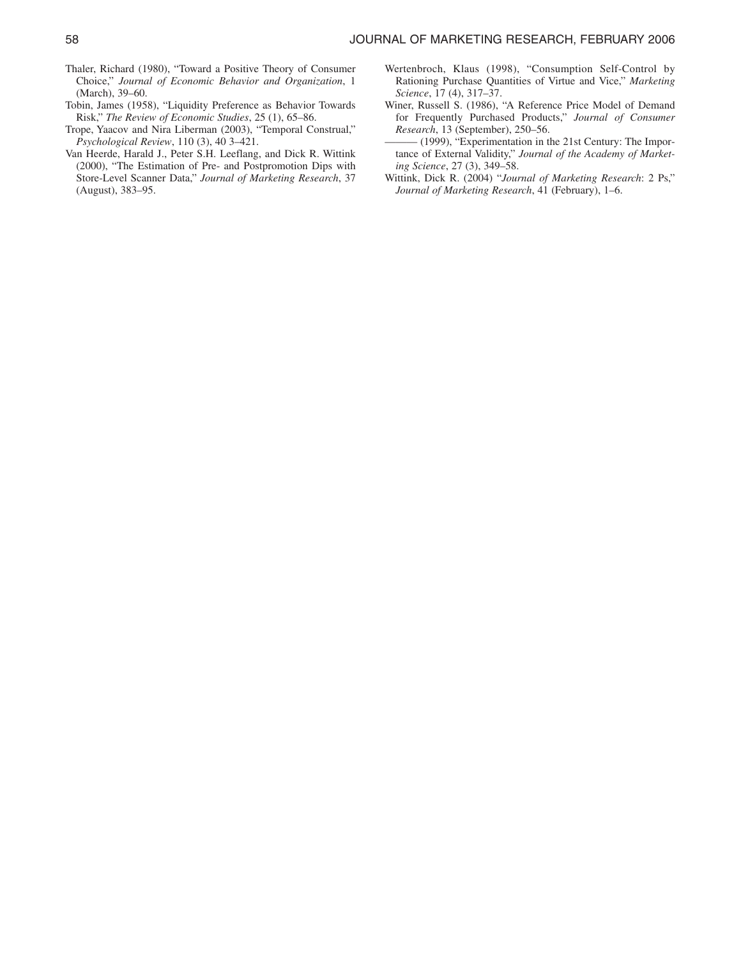- Thaler, Richard (1980), "Toward a Positive Theory of Consumer Choice," *Journal of Economic Behavior and Organization*, 1 (March), 39–60.
- Tobin, James (1958), "Liquidity Preference as Behavior Towards Risk," *The Review of Economic Studies*, 25 (1), 65–86.
- Trope, Yaacov and Nira Liberman (2003), "Temporal Construal," *Psychological Review*, 110 (3), 40 3–421.
- Van Heerde, Harald J., Peter S.H. Leeflang, and Dick R. Wittink (2000), "The Estimation of Pre- and Postpromotion Dips with Store-Level Scanner Data," *Journal of Marketing Research*, 37 (August), 383–95.
- Wertenbroch, Klaus (1998), "Consumption Self-Control by Rationing Purchase Quantities of Virtue and Vice," *Marketing Science*, 17 (4), 317–37.
- Winer, Russell S. (1986), "A Reference Price Model of Demand for Frequently Purchased Products," *Journal of Consumer Research*, 13 (September), 250–56.
- (1999), "Experimentation in the 21st Century: The Importance of External Validity," *Journal of the Academy of Marketing Science*, 27 (3), 349–58.
- Wittink, Dick R. (2004) "*Journal of Marketing Research*: 2 Ps," *Journal of Marketing Research*, 41 (February), 1–6.